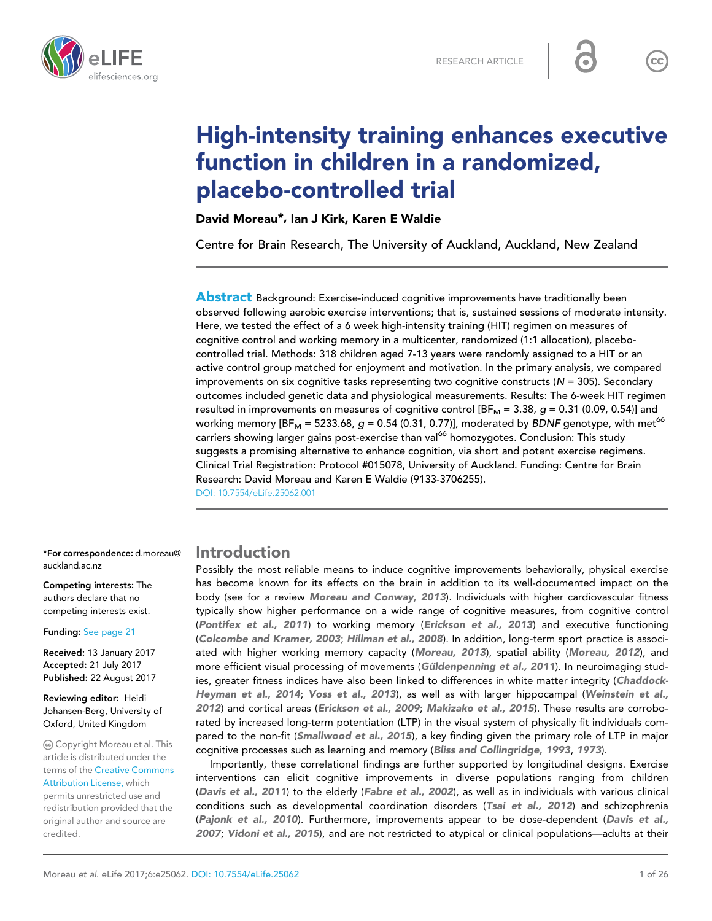

# High-intensity training enhances executive function in children in a randomized, placebo-controlled trial

David Moreau\*, Ian J Kirk, Karen E Waldie

Centre for Brain Research, The University of Auckland, Auckland, New Zealand

**Abstract** Background: Exercise-induced cognitive improvements have traditionally been observed following aerobic exercise interventions; that is, sustained sessions of moderate intensity. Here, we tested the effect of a 6 week high-intensity training (HIT) regimen on measures of cognitive control and working memory in a multicenter, randomized (1:1 allocation), placebocontrolled trial. Methods: 318 children aged 7-13 years were randomly assigned to a HIT or an active control group matched for enjoyment and motivation. In the primary analysis, we compared improvements on six cognitive tasks representing two cognitive constructs ( $N = 305$ ). Secondary outcomes included genetic data and physiological measurements. Results: The 6-week HIT regimen resulted in improvements on measures of cognitive control [BF<sub>M</sub> = 3.38,  $g$  = 0.31 (0.09, 0.54)] and working memory  $[BF_M = 5233.68, g = 0.54 (0.31, 0.77)]$ , moderated by BDNF genotype, with met<sup>66</sup> carriers showing larger gains post-exercise than val<sup>66</sup> homozygotes. Conclusion: This study suggests a promising alternative to enhance cognition, via short and potent exercise regimens. Clinical Trial Registration: Protocol #015078, University of Auckland. Funding: Centre for Brain Research: David Moreau and Karen E Waldie (9133-3706255).

[DOI: 10.7554/eLife.25062.001](http://dx.doi.org/10.7554/eLife.25062.001)

\*For correspondence: d.moreau@ auckland.ac.nz

Competing interests: The authors declare that no competing interests exist.

Funding: [See page 21](#page-20-0)

Received: 13 January 2017 Accepted: 21 July 2017 Published: 22 August 2017

Reviewing editor: Heidi Johansen-Berg, University of Oxford, United Kingdom

Copyright Moreau et al. This article is distributed under the terms of the [Creative Commons](http://creativecommons.org/licenses/by/4.0/) [Attribution License,](http://creativecommons.org/licenses/by/4.0/) which permits unrestricted use and redistribution provided that the original author and source are credited.

### Introduction

Possibly the most reliable means to induce cognitive improvements behaviorally, physical exercise has become known for its effects on the brain in addition to its well-documented impact on the body (see for a review [Moreau and Conway, 2013](#page-23-0)). Individuals with higher cardiovascular fitness typically show higher performance on a wide range of cognitive measures, from cognitive control ([Pontifex et al., 2011](#page-24-0)) to working memory ([Erickson et al., 2013](#page-22-0)) and executive functioning ([Colcombe and Kramer, 2003](#page-21-0); [Hillman et al., 2008](#page-22-0)). In addition, long-term sport practice is associated with higher working memory capacity ([Moreau, 2013](#page-23-0)), spatial ability ([Moreau, 2012](#page-23-0)), and more efficient visual processing of movements (Güldenpenning et al., 2011). In neuroimaging studies, greater fitness indices have also been linked to differences in white matter integrity ([Chaddock-](#page-21-0)[Heyman et al., 2014](#page-21-0); [Voss et al., 2013](#page-25-0)), as well as with larger hippocampal ([Weinstein et al.,](#page-25-0) [2012](#page-25-0)) and cortical areas ([Erickson et al., 2009](#page-22-0); [Makizako et al., 2015](#page-23-0)). These results are corroborated by increased long-term potentiation (LTP) in the visual system of physically fit individuals com-pared to the non-fit ([Smallwood et al., 2015](#page-24-0)), a key finding given the primary role of LTP in major cognitive processes such as learning and memory ([Bliss and Collingridge, 1993](#page-21-0), [1973](#page-21-0)).

Importantly, these correlational findings are further supported by longitudinal designs. Exercise interventions can elicit cognitive improvements in diverse populations ranging from children ([Davis et al., 2011](#page-21-0)) to the elderly ([Fabre et al., 2002](#page-22-0)), as well as in individuals with various clinical conditions such as developmental coordination disorders ([Tsai et al., 2012](#page-25-0)) and schizophrenia ([Pajonk et al., 2010](#page-23-0)). Furthermore, improvements appear to be dose-dependent ([Davis et al.,](#page-21-0) [2007](#page-21-0); [Vidoni et al., 2015](#page-25-0)), and are not restricted to atypical or clinical populations—adults at their

 $cc$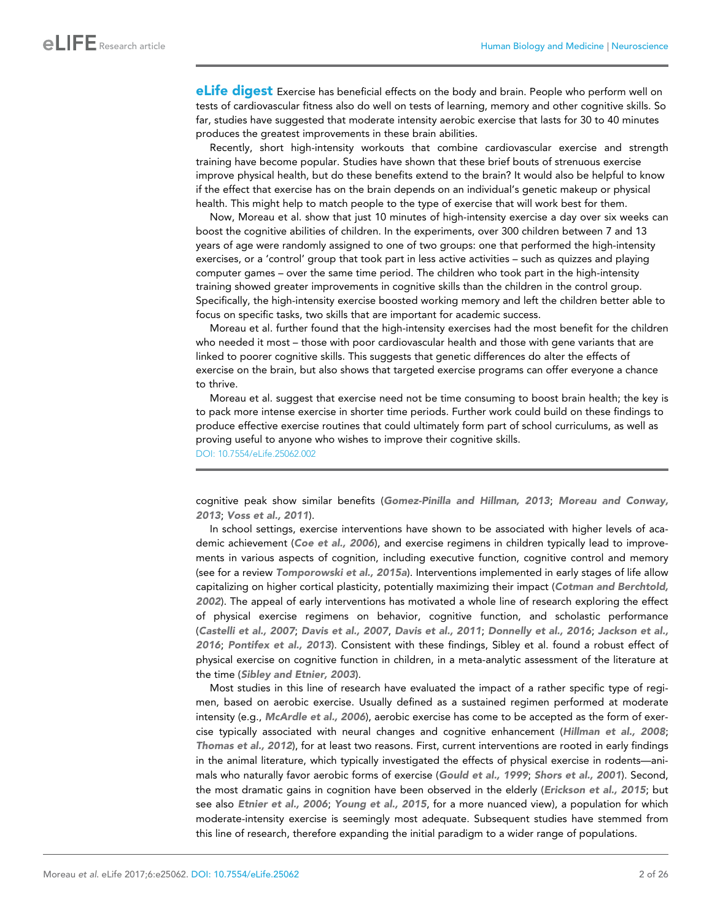**eLife digest** Exercise has beneficial effects on the body and brain. People who perform well on tests of cardiovascular fitness also do well on tests of learning, memory and other cognitive skills. So far, studies have suggested that moderate intensity aerobic exercise that lasts for 30 to 40 minutes produces the greatest improvements in these brain abilities.

Recently, short high-intensity workouts that combine cardiovascular exercise and strength training have become popular. Studies have shown that these brief bouts of strenuous exercise improve physical health, but do these benefits extend to the brain? It would also be helpful to know if the effect that exercise has on the brain depends on an individual's genetic makeup or physical health. This might help to match people to the type of exercise that will work best for them.

Now, Moreau et al. show that just 10 minutes of high-intensity exercise a day over six weeks can boost the cognitive abilities of children. In the experiments, over 300 children between 7 and 13 years of age were randomly assigned to one of two groups: one that performed the high-intensity exercises, or a 'control' group that took part in less active activities – such as quizzes and playing computer games – over the same time period. The children who took part in the high-intensity training showed greater improvements in cognitive skills than the children in the control group. Specifically, the high-intensity exercise boosted working memory and left the children better able to focus on specific tasks, two skills that are important for academic success.

Moreau et al. further found that the high-intensity exercises had the most benefit for the children who needed it most – those with poor cardiovascular health and those with gene variants that are linked to poorer cognitive skills. This suggests that genetic differences do alter the effects of exercise on the brain, but also shows that targeted exercise programs can offer everyone a chance to thrive.

Moreau et al. suggest that exercise need not be time consuming to boost brain health; the key is to pack more intense exercise in shorter time periods. Further work could build on these findings to produce effective exercise routines that could ultimately form part of school curriculums, as well as proving useful to anyone who wishes to improve their cognitive skills. [DOI: 10.7554/eLife.25062.002](http://dx.doi.org/10.7554/eLife.25062.002)

cognitive peak show similar benefits ([Gomez-Pinilla and Hillman, 2013](#page-22-0); [Moreau and Conway,](#page-23-0) [2013](#page-23-0); [Voss et al., 2011](#page-25-0)).

In school settings, exercise interventions have shown to be associated with higher levels of aca-demic achievement ([Coe et al., 2006](#page-21-0)), and exercise regimens in children typically lead to improvements in various aspects of cognition, including executive function, cognitive control and memory (see for a review [Tomporowski et al., 2015a](#page-24-0)). Interventions implemented in early stages of life allow capitalizing on higher cortical plasticity, potentially maximizing their impact ([Cotman and Berchtold,](#page-21-0) [2002](#page-21-0)). The appeal of early interventions has motivated a whole line of research exploring the effect of physical exercise regimens on behavior, cognitive function, and scholastic performance ([Castelli et al., 2007](#page-21-0); [Davis et al., 2007](#page-21-0), [Davis et al., 2011](#page-21-0); [Donnelly et al., 2016](#page-21-0); [Jackson et al.,](#page-22-0) [2016](#page-22-0); [Pontifex et al., 2013](#page-24-0)). Consistent with these findings, Sibley et al. found a robust effect of physical exercise on cognitive function in children, in a meta-analytic assessment of the literature at the time ([Sibley and Etnier, 2003](#page-24-0)).

Most studies in this line of research have evaluated the impact of a rather specific type of regimen, based on aerobic exercise. Usually defined as a sustained regimen performed at moderate intensity (e.g., [McArdle et al., 2006](#page-23-0)), aerobic exercise has come to be accepted as the form of exercise typically associated with neural changes and cognitive enhancement ([Hillman et al., 2008](#page-22-0); [Thomas et al., 2012](#page-24-0)), for at least two reasons. First, current interventions are rooted in early findings in the animal literature, which typically investigated the effects of physical exercise in rodents—ani-mals who naturally favor aerobic forms of exercise ([Gould et al., 1999](#page-22-0); [Shors et al., 2001](#page-24-0)). Second, the most dramatic gains in cognition have been observed in the elderly ([Erickson et al., 2015](#page-22-0); but see also [Etnier et al., 2006](#page-22-0); [Young et al., 2015](#page-25-0), for a more nuanced view), a population for which moderate-intensity exercise is seemingly most adequate. Subsequent studies have stemmed from this line of research, therefore expanding the initial paradigm to a wider range of populations.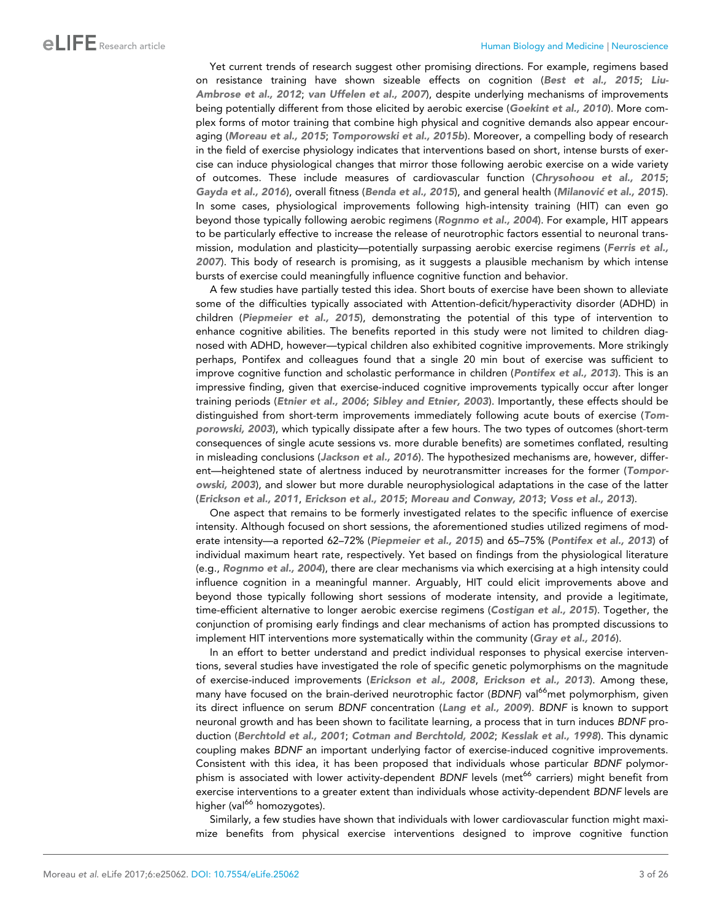Yet current trends of research suggest other promising directions. For example, regimens based on resistance training have shown sizeable effects on cognition ([Best et al., 2015](#page-21-0); [Liu-](#page-23-0)[Ambrose et al., 2012](#page-23-0); [van Uffelen et al., 2007](#page-25-0)), despite underlying mechanisms of improvements being potentially different from those elicited by aerobic exercise ([Goekint et al., 2010](#page-22-0)). More complex forms of motor training that combine high physical and cognitive demands also appear encouraging ([Moreau et al., 2015](#page-23-0); [Tomporowski et al., 2015b](#page-24-0)). Moreover, a compelling body of research in the field of exercise physiology indicates that interventions based on short, intense bursts of exercise can induce physiological changes that mirror those following aerobic exercise on a wide variety of outcomes. These include measures of cardiovascular function ([Chrysohoou et al., 2015](#page-21-0); [Gayda et al., 2016](#page-22-0)), overall fitness ([Benda et al., 2015](#page-20-0)), and general health (Milanović [et al., 2015](#page-23-0)). In some cases, physiological improvements following high-intensity training (HIT) can even go beyond those typically following aerobic regimens ([Rognmo et al., 2004](#page-24-0)). For example, HIT appears to be particularly effective to increase the release of neurotrophic factors essential to neuronal trans-mission, modulation and plasticity—potentially surpassing aerobic exercise regimens ([Ferris et al.,](#page-22-0) [2007](#page-22-0)). This body of research is promising, as it suggests a plausible mechanism by which intense bursts of exercise could meaningfully influence cognitive function and behavior.

A few studies have partially tested this idea. Short bouts of exercise have been shown to alleviate some of the difficulties typically associated with Attention-deficit/hyperactivity disorder (ADHD) in children ([Piepmeier et al., 2015](#page-24-0)), demonstrating the potential of this type of intervention to enhance cognitive abilities. The benefits reported in this study were not limited to children diagnosed with ADHD, however—typical children also exhibited cognitive improvements. More strikingly perhaps, Pontifex and colleagues found that a single 20 min bout of exercise was sufficient to improve cognitive function and scholastic performance in children ([Pontifex et al., 2013](#page-24-0)). This is an impressive finding, given that exercise-induced cognitive improvements typically occur after longer training periods ([Etnier et al., 2006](#page-22-0); [Sibley and Etnier, 2003](#page-24-0)). Importantly, these effects should be distinguished from short-term improvements immediately following acute bouts of exercise ([Tom](#page-24-0)[porowski, 2003](#page-24-0)), which typically dissipate after a few hours. The two types of outcomes (short-term consequences of single acute sessions vs. more durable benefits) are sometimes conflated, resulting in misleading conclusions ([Jackson et al., 2016](#page-22-0)). The hypothesized mechanisms are, however, differ-ent—heightened state of alertness induced by neurotransmitter increases for the former ([Tompor](#page-24-0)[owski, 2003](#page-24-0)), and slower but more durable neurophysiological adaptations in the case of the latter ([Erickson et al., 2011](#page-22-0), [Erickson et al., 2015](#page-22-0); [Moreau and Conway, 2013](#page-23-0); [Voss et al., 2013](#page-25-0)).

One aspect that remains to be formerly investigated relates to the specific influence of exercise intensity. Although focused on short sessions, the aforementioned studies utilized regimens of moderate intensity—a reported 62–72% ([Piepmeier et al., 2015](#page-24-0)) and 65–75% ([Pontifex et al., 2013](#page-24-0)) of individual maximum heart rate, respectively. Yet based on findings from the physiological literature (e.g., [Rognmo et al., 2004](#page-24-0)), there are clear mechanisms via which exercising at a high intensity could influence cognition in a meaningful manner. Arguably, HIT could elicit improvements above and beyond those typically following short sessions of moderate intensity, and provide a legitimate, time-efficient alternative to longer aerobic exercise regimens ([Costigan et al., 2015](#page-21-0)). Together, the conjunction of promising early findings and clear mechanisms of action has prompted discussions to implement HIT interventions more systematically within the community ([Gray et al., 2016](#page-22-0)).

In an effort to better understand and predict individual responses to physical exercise interventions, several studies have investigated the role of specific genetic polymorphisms on the magnitude of exercise-induced improvements ([Erickson et al., 2008](#page-22-0), [Erickson et al., 2013](#page-22-0)). Among these, many have focused on the brain-derived neurotrophic factor (BDNF) val<sup>66</sup>met polymorphism, given its direct influence on serum *BDNF* concentration ([Lang et al., 2009](#page-23-0)). *BDNF* is known to support neuronal growth and has been shown to facilitate learning, a process that in turn induces *BDNF* production ([Berchtold et al., 2001](#page-21-0); [Cotman and Berchtold, 2002](#page-21-0); [Kesslak et al., 1998](#page-22-0)). This dynamic coupling makes *BDNF* an important underlying factor of exercise-induced cognitive improvements. Consistent with this idea, it has been proposed that individuals whose particular *BDNF* polymorphism is associated with lower activity-dependent *BDNF* levels (met<sup>66</sup> carriers) might benefit from exercise interventions to a greater extent than individuals whose activity-dependent *BDNF* levels are higher (val<sup>66</sup> homozygotes).

Similarly, a few studies have shown that individuals with lower cardiovascular function might maximize benefits from physical exercise interventions designed to improve cognitive function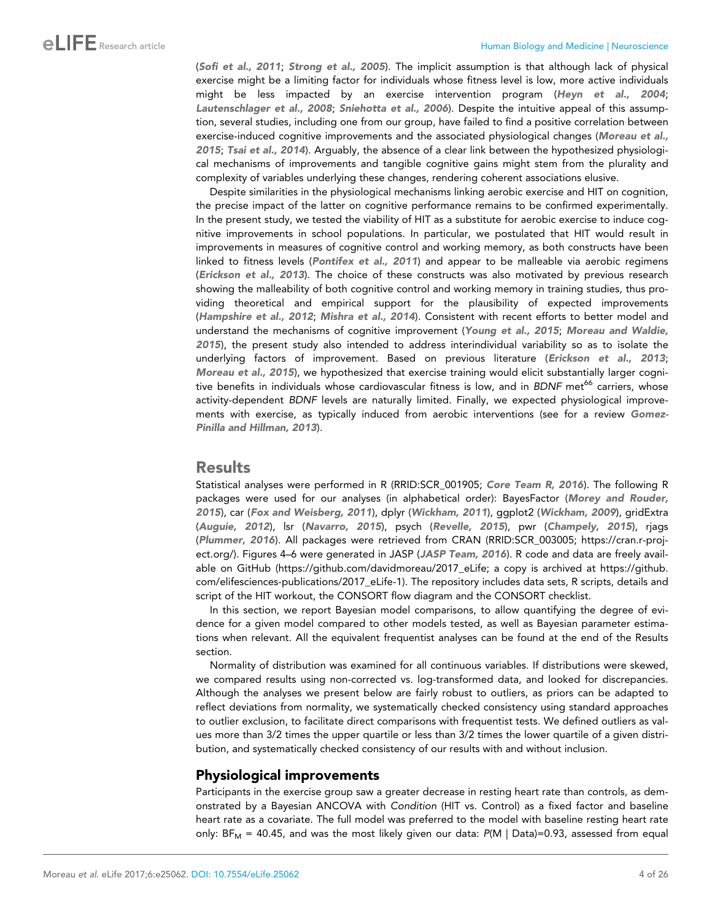([Sofi et al., 2011](#page-24-0); [Strong et al., 2005](#page-24-0)). The implicit assumption is that although lack of physical exercise might be a limiting factor for individuals whose fitness level is low, more active individuals might be less impacted by an exercise intervention program ([Heyn et al., 2004](#page-22-0); [Lautenschlager et al., 2008](#page-23-0); [Sniehotta et al., 2006](#page-24-0)). Despite the intuitive appeal of this assumption, several studies, including one from our group, have failed to find a positive correlation between exercise-induced cognitive improvements and the associated physiological changes ([Moreau et al.,](#page-23-0) [2015](#page-23-0); [Tsai et al., 2014](#page-24-0)). Arguably, the absence of a clear link between the hypothesized physiological mechanisms of improvements and tangible cognitive gains might stem from the plurality and complexity of variables underlying these changes, rendering coherent associations elusive.

Despite similarities in the physiological mechanisms linking aerobic exercise and HIT on cognition, the precise impact of the latter on cognitive performance remains to be confirmed experimentally. In the present study, we tested the viability of HIT as a substitute for aerobic exercise to induce cognitive improvements in school populations. In particular, we postulated that HIT would result in improvements in measures of cognitive control and working memory, as both constructs have been linked to fitness levels ([Pontifex et al., 2011](#page-24-0)) and appear to be malleable via aerobic regimens ([Erickson et al., 2013](#page-22-0)). The choice of these constructs was also motivated by previous research showing the malleability of both cognitive control and working memory in training studies, thus providing theoretical and empirical support for the plausibility of expected improvements ([Hampshire et al., 2012](#page-22-0); [Mishra et al., 2014](#page-23-0)). Consistent with recent efforts to better model and understand the mechanisms of cognitive improvement ([Young et al., 2015](#page-25-0); [Moreau and Waldie,](#page-23-0) [2015](#page-23-0)), the present study also intended to address interindividual variability so as to isolate the underlying factors of improvement. Based on previous literature ([Erickson et al., 2013](#page-22-0); [Moreau et al., 2015](#page-23-0)), we hypothesized that exercise training would elicit substantially larger cognitive benefits in individuals whose cardiovascular fitness is low, and in *BDNF* met<sup>66</sup> carriers, whose activity-dependent *BDNF* levels are naturally limited. Finally, we expected physiological improve-ments with exercise, as typically induced from aerobic interventions (see for a review [Gomez-](#page-22-0)[Pinilla and Hillman, 2013](#page-22-0)).

#### Results

Statistical analyses were performed in R (RRID[:SCR\\_001905](https://scicrunch.org/resolver/SCR_001905); [Core Team R, 2016](#page-21-0)). The following R packages were used for our analyses (in alphabetical order): BayesFactor ([Morey and Rouder,](#page-23-0) [2015](#page-23-0)), car ([Fox and Weisberg, 2011](#page-22-0)), dplyr ([Wickham, 2011](#page-25-0)), ggplot2 ([Wickham, 2009](#page-25-0)), gridExtra ([Auguie, 2012](#page-20-0)), lsr ([Navarro, 2015](#page-23-0)), psych ([Revelle, 2015](#page-24-0)), pwr ([Champely, 2015](#page-21-0)), rjags ([Plummer, 2016](#page-24-0)). All packages were retrieved from CRAN (RRID:[SCR\\_003005;](https://scicrunch.org/resolver/SCR_003005) [https://cran.r-proj](https://cran.r-project.org/)[ect.org/\)](https://cran.r-project.org/). Figures 4–6 were generated in JASP ([JASP Team, 2016](#page-24-0)). R code and data are freely available on GitHub [\(https://github.com/davidmoreau/2017\\_eLife;](https://github.com/davidmoreau/2017_eLife) a copy is archived at [https://github.](https://github.com/elifesciences-publications/2017_eLife-1) [com/elifesciences-publications/2017\\_eLife-1\)](https://github.com/elifesciences-publications/2017_eLife-1). The repository includes data sets, R scripts, details and script of the HIT workout, the CONSORT flow diagram and the CONSORT checklist.

In this section, we report Bayesian model comparisons, to allow quantifying the degree of evidence for a given model compared to other models tested, as well as Bayesian parameter estimations when relevant. All the equivalent frequentist analyses can be found at the end of the Results section.

Normality of distribution was examined for all continuous variables. If distributions were skewed, we compared results using non-corrected vs. log-transformed data, and looked for discrepancies. Although the analyses we present below are fairly robust to outliers, as priors can be adapted to reflect deviations from normality, we systematically checked consistency using standard approaches to outlier exclusion, to facilitate direct comparisons with frequentist tests. We defined outliers as values more than 3/2 times the upper quartile or less than 3/2 times the lower quartile of a given distribution, and systematically checked consistency of our results with and without inclusion.

### Physiological improvements

Participants in the exercise group saw a greater decrease in resting heart rate than controls, as demonstrated by a Bayesian ANCOVA with *Condition* (HIT vs. Control) as a fixed factor and baseline heart rate as a covariate. The full model was preferred to the model with baseline resting heart rate only:  $BF_M = 40.45$ , and was the most likely given our data:  $P(M \mid Data) = 0.93$ , assessed from equal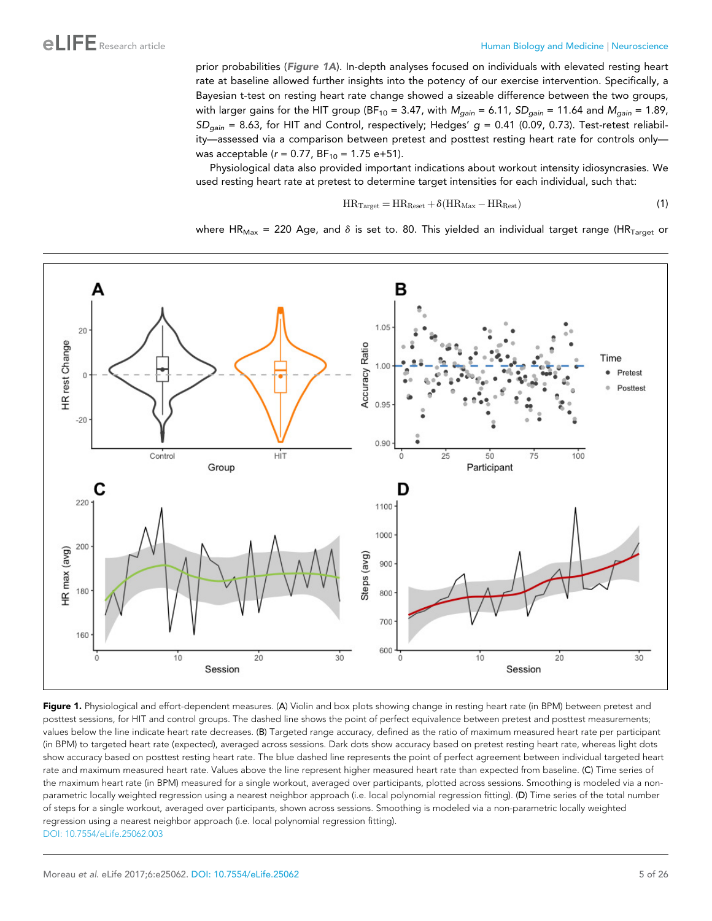<span id="page-4-0"></span>prior probabilities (Figure 1A). In-depth analyses focused on individuals with elevated resting heart rate at baseline allowed further insights into the potency of our exercise intervention. Specifically, a Bayesian t-test on resting heart rate change showed a sizeable difference between the two groups, with larger gains for the HIT group (BF<sub>10</sub> = 3.47, with  $M_{gain} = 6.11$ ,  $SD_{gain} = 11.64$  and  $M_{gain} = 1.89$ , *SDgain* = 8.63, for HIT and Control, respectively; Hedges' *g* = 0.41 (0.09, 0.73). Test-retest reliability—assessed via a comparison between pretest and posttest resting heart rate for controls only was acceptable (*r* = 0.77, BF<sub>10</sub> = 1.75 e+51).

Physiological data also provided important indications about workout intensity idiosyncrasies. We used resting heart rate at pretest to determine target intensities for each individual, such that:

$$
HR_{Target} = HR_{Reset} + \delta(HR_{Max} - HR_{Rest})
$$
\n(1)

where HR<sub>Max</sub> = 220 Age, and  $\delta$  is set to. 80. This yielded an individual target range (HR<sub>Target</sub> or



Figure 1. Physiological and effort-dependent measures. (A) Violin and box plots showing change in resting heart rate (in BPM) between pretest and posttest sessions, for HIT and control groups. The dashed line shows the point of perfect equivalence between pretest and posttest measurements; values below the line indicate heart rate decreases. (B) Targeted range accuracy, defined as the ratio of maximum measured heart rate per participant (in BPM) to targeted heart rate (expected), averaged across sessions. Dark dots show accuracy based on pretest resting heart rate, whereas light dots show accuracy based on posttest resting heart rate. The blue dashed line represents the point of perfect agreement between individual targeted heart rate and maximum measured heart rate. Values above the line represent higher measured heart rate than expected from baseline. (C) Time series of the maximum heart rate (in BPM) measured for a single workout, averaged over participants, plotted across sessions. Smoothing is modeled via a nonparametric locally weighted regression using a nearest neighbor approach (i.e. local polynomial regression fitting). (D) Time series of the total number of steps for a single workout, averaged over participants, shown across sessions. Smoothing is modeled via a non-parametric locally weighted regression using a nearest neighbor approach (i.e. local polynomial regression fitting). [DOI: 10.7554/eLife.25062.003](http://dx.doi.org/10.7554/eLife.25062.003)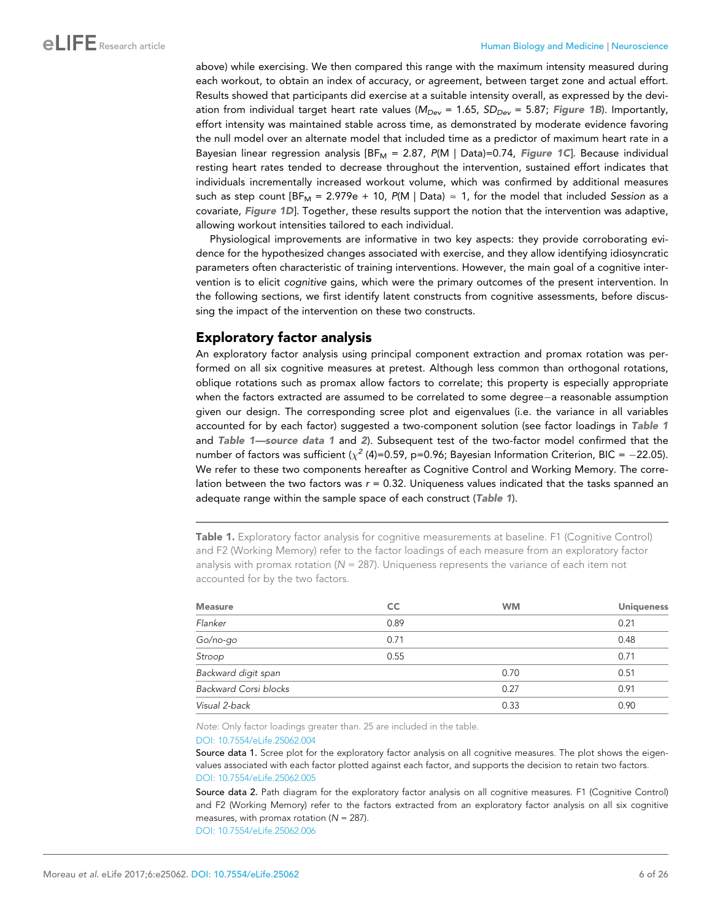above) while exercising. We then compared this range with the maximum intensity measured during each workout, to obtain an index of accuracy, or agreement, between target zone and actual effort. Results showed that participants did exercise at a suitable intensity overall, as expressed by the deviation from individual target heart rate values (*MDev* = 1.65, *SDDev* = 5.87; [Figure 1B](#page-4-0)). Importantly, effort intensity was maintained stable across time, as demonstrated by moderate evidence favoring the null model over an alternate model that included time as a predictor of maximum heart rate in a Bayesian linear regression analysis [BF<sub>M</sub> = 2.87, P(M | Data)=0.74, [Figure 1C](#page-4-0)]. Because individual resting heart rates tended to decrease throughout the intervention, sustained effort indicates that individuals incrementally increased workout volume, which was confirmed by additional measures such as step count  $[BF_M = 2.979e + 10, P(M | Data) \approx 1$ , for the model that included *Session* as a covariate, [Figure 1D](#page-4-0)]. Together, these results support the notion that the intervention was adaptive, allowing workout intensities tailored to each individual.

Physiological improvements are informative in two key aspects: they provide corroborating evidence for the hypothesized changes associated with exercise, and they allow identifying idiosyncratic parameters often characteristic of training interventions. However, the main goal of a cognitive intervention is to elicit *cognitive* gains, which were the primary outcomes of the present intervention. In the following sections, we first identify latent constructs from cognitive assessments, before discussing the impact of the intervention on these two constructs.

# Exploratory factor analysis

An exploratory factor analysis using principal component extraction and promax rotation was performed on all six cognitive measures at pretest. Although less common than orthogonal rotations, oblique rotations such as promax allow factors to correlate; this property is especially appropriate when the factors extracted are assumed to be correlated to some degree-a reasonable assumption given our design. The corresponding scree plot and eigenvalues (i.e. the variance in all variables accounted for by each factor) suggested a two-component solution (see factor loadings in Table 1 and Table 1-source data 1 and 2). Subsequent test of the two-factor model confirmed that the number of factors was sufficient ( $\chi^2$  (4)=0.59, p=0.96; Bayesian Information Criterion, BIC =  $-22.05$ ). We refer to these two components hereafter as Cognitive Control and Working Memory. The correlation between the two factors was *r* = 0.32. Uniqueness values indicated that the tasks spanned an adequate range within the sample space of each construct (Table 1).

Table 1. Exploratory factor analysis for cognitive measurements at baseline. F1 (Cognitive Control) and F2 (Working Memory) refer to the factor loadings of each measure from an exploratory factor analysis with promax rotation ( $N = 287$ ). Uniqueness represents the variance of each item not accounted for by the two factors.

| <b>Measure</b>        | <b>CC</b> | <b>WM</b> | <b>Uniqueness</b> |
|-----------------------|-----------|-----------|-------------------|
| Flanker               | 0.89      |           | 0.21              |
| Go/no-go              | 0.71      |           | 0.48              |
| Stroop                | 0.55      |           | 0.71              |
| Backward digit span   |           | 0.70      | 0.51              |
| Backward Corsi blocks |           | 0.27      | 0.91              |
| Visual 2-back         |           | 0.33      | 0.90              |

Note: Only factor loadings greater than. 25 are included in the table.

#### [DOI: 10.7554/eLife.25062.004](http://dx.doi.org/10.7554/eLife.25062.004Table%201.Exploratory%20factor%20analysis%20for%20cognitive%20measurements%20at%20baseline.&x00A0;F1%20(Cognitive%20Control)%20and%20F2%20(Working%20Memory)%20refer%20to%20the%20factor%20loadings%20of%20each%20measure%20from%20an%20exploratory%20factor%20analysis%20with%20promax%20rotation%20(N&x00A0;=&x00A0;287).%20Uniqueness%20represents%20the%20variance%20of%20each%20item%20not%20accounted%20for%20by%20the%20two%20factors.%2010.7554/eLife.25062.00410.7554/eLife.25062.005Table%201&x2014;source%20data%201.Scree%20plot%20for%20the%20exploratory%20factor%20analysis%20on%20all%20cognitive%20measures.The%20plot%20shows%20the%20eigenvalues%20associated%20with%20each%20factor%20plotted%20against%20each%20factor,%20and%20supports%20the%20decision%20to%20retain%20two%20factors.%2010.7554/eLife.25062.00510.7554/eLife.25062.006Table%201&x2014;source%20data%202.Path%20diagram%20for%20the%20exploratory%20factor%20analysis%20on%20all%20cognitive%20measures.F1%20(Cognitive%20Control)%20and%20F2%20(Working%20Memory)%20refer%20to%20the%20factors%20extracted%20from%20an%20exploratory%20factor%20analysis%20on%20all%20six%20cognitive%20measures,%20with%20promax%20rotation%20(N&x00A0;=&x00A0;287).%2010.7554/eLife.25062.006MeasureCCWMUniquenessFlanker0.890.21Go/no-go0.710.48Stroop0.550.71Backward%20digit%20span0.700.51Backward%20Corsi%20blocks0.270.91Visual%202-back0.330.90Note:%20Only%20factor%20loadings%20greater%20than.%2025%20are%20included%20in%20the%20table.)

Source data 1. Scree plot for the exploratory factor analysis on all cognitive measures. The plot shows the eigenvalues associated with each factor plotted against each factor, and supports the decision to retain two factors. [DOI: 10.7554/eLife.25062.005](http://dx.doi.org/)

Source data 2. Path diagram for the exploratory factor analysis on all cognitive measures. F1 (Cognitive Control) and F2 (Working Memory) refer to the factors extracted from an exploratory factor analysis on all six cognitive measures, with promax rotation ( $N = 287$ ). [DOI: 10.7554/eLife.25062.006](http://dx.doi.org/)

Moreau et al. eLife 2017;6:e25062. DOI: [10.7554/eLife.25062](http://dx.doi.org/10.7554/eLife.25062) 6 of 26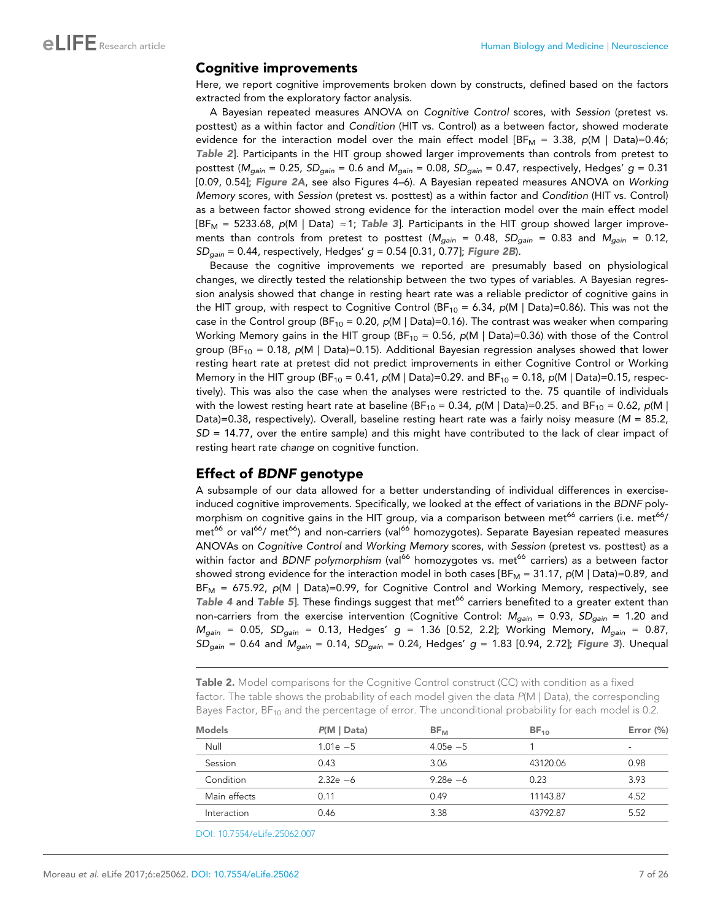#### Cognitive improvements

Here, we report cognitive improvements broken down by constructs, defined based on the factors extracted from the exploratory factor analysis.

A Bayesian repeated measures ANOVA on *Cognitive Control* scores, with *Session* (pretest vs. posttest) as a within factor and *Condition* (HIT vs. Control) as a between factor, showed moderate evidence for the interaction model over the main effect model [BF<sub>M</sub> = 3.38,  $p(M \mid Data) = 0.46$ ; Table 2]. Participants in the HIT group showed larger improvements than controls from pretest to posttest (*Mgain* = 0.25, *SDgain* = 0.6 and *Mgain* = 0.08, *SDgain* = 0.47, respectively, Hedges' *g* = 0.31 [0.09, 0.54]; [Figure 2A](#page-7-0), see also Figures 4–6). A Bayesian repeated measures ANOVA on *Working Memory* scores, with *Session* (pretest vs. posttest) as a within factor and *Condition* (HIT vs. Control) as a between factor showed strong evidence for the interaction model over the main effect model  $[BF_M = 5233.68, p(M | Data) \approx 1; Table 3].$  $[BF_M = 5233.68, p(M | Data) \approx 1; Table 3].$  $[BF_M = 5233.68, p(M | Data) \approx 1; Table 3].$  Participants in the HIT group showed larger improvements than controls from pretest to posttest ( $M_{gain}$  = 0.48,  $SD_{gain}$  = 0.83 and  $M_{gain}$  = 0.12, *SDgain* = 0.44, respectively, Hedges' *g* = 0.54 [0.31, 0.77]; [Figure 2B](#page-7-0)).

Because the cognitive improvements we reported are presumably based on physiological changes, we directly tested the relationship between the two types of variables. A Bayesian regression analysis showed that change in resting heart rate was a reliable predictor of cognitive gains in the HIT group, with respect to Cognitive Control (BF<sub>10</sub> = 6.34,  $p(M | Data) = 0.86$ ). This was not the case in the Control group (BF<sub>10</sub> = 0.20,  $p(M | Data)=0.16)$ . The contrast was weaker when comparing Working Memory gains in the HIT group (BF<sub>10</sub> = 0.56, p(M | Data)=0.36) with those of the Control group (BF<sup>10</sup> = 0.18, *p*(M | Data)=0.15). Additional Bayesian regression analyses showed that lower resting heart rate at pretest did not predict improvements in either Cognitive Control or Working Memory in the HIT group (BF<sub>10</sub> = 0.41, *p*(M | Data)=0.29. and BF<sub>10</sub> = 0.18, *p*(M | Data)=0.15, respectively). This was also the case when the analyses were restricted to the. 75 quantile of individuals with the lowest resting heart rate at baseline (BF<sub>10</sub> = 0.34,  $p(M \mid Data)$ =0.25. and BF<sub>10</sub> = 0.62,  $p(M \mid Data)$ Data)=0.38, respectively). Overall, baseline resting heart rate was a fairly noisy measure (*M* = 85.2, *SD* = 14.77, over the entire sample) and this might have contributed to the lack of clear impact of resting heart rate *change* on cognitive function.

#### Effect of BDNF genotype

A subsample of our data allowed for a better understanding of individual differences in exerciseinduced cognitive improvements. Specifically, we looked at the effect of variations in the *BDNF* polymorphism on cognitive gains in the HIT group, via a comparison between met<sup>66</sup> carriers (i.e. met<sup>66</sup>/ met<sup>66</sup> or val<sup>66</sup>/ met<sup>66</sup>) and non-carriers (val<sup>66</sup> homozygotes). Separate Bayesian repeated measures ANOVAs on *Cognitive Control* and *Working Memory* scores, with *Session* (pretest vs. posttest) as a within factor and *BDNF polymorphism* (val<sup>66</sup> homozygotes vs. met<sup>66</sup> carriers) as a between factor showed strong evidence for the interaction model in both cases [BF<sub>M</sub> = 31.17, *p*(M | Data)=0.89, and BF<sup>M</sup> = 675.92, *p*(M | Data)=0.99, for Cognitive Control and Working Memory, respectively, see [Table 4](#page-8-0) and [Table 5](#page-8-0)]. These findings suggest that met<sup>66</sup> carriers benefited to a greater extent than non-carriers from the exercise intervention (Cognitive Control: *Mgain* = 0.93, *SDgain* = 1.20 and *Mgain* = 0.05, *SDgain* = 0.13, Hedges' *g* = 1.36 [0.52, 2.2]; Working Memory, *Mgain* = 0.87, *SDgain* = 0.64 and *Mgain* = 0.14, *SDgain* = 0.24, Hedges' *g* = 1.83 [0.94, 2.72]; [Figure 3](#page-9-0)). Unequal

Table 2. Model comparisons for the Cognitive Control construct (CC) with condition as a fixed factor. The table shows the probability of each model given the data  $P(M \mid Data)$ , the corresponding Bayes Factor,  $BF_{10}$  and the percentage of error. The unconditional probability for each model is 0.2.

| <b>Models</b> | P(M   Data) | $BF_{M}$    | $BF_{10}$ | Error $(\%)$ |
|---------------|-------------|-------------|-----------|--------------|
| Null          | $1.01e - 5$ | $4.05e - 5$ |           | ۰            |
| Session       | 0.43        | 3.06        | 43120.06  | 0.98         |
| Condition     | $2.32e - 6$ | $9.28e - 6$ | 0.23      | 3.93         |
| Main effects  | 0.11        | 0.49        | 11143.87  | 4.52         |
| Interaction   | 0.46        | 3.38        | 43792.87  | 5.52         |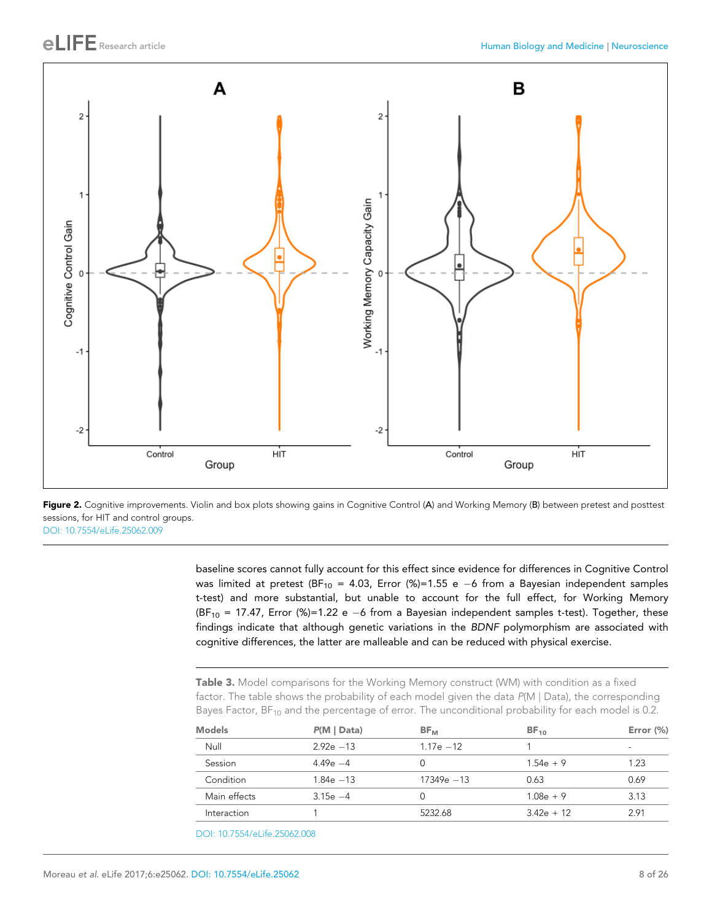<span id="page-7-0"></span>

Figure 2. Cognitive improvements. Violin and box plots showing gains in Cognitive Control (A) and Working Memory (B) between pretest and posttest sessions, for HIT and control groups. [DOI: 10.7554/eLife.25062.009](http://dx.doi.org/10.7554/eLife.25062.009)

> baseline scores cannot fully account for this effect since evidence for differences in Cognitive Control was limited at pretest (BF<sub>10</sub> = 4.03, Error (%)=1.55 e -6 from a Bayesian independent samples t-test) and more substantial, but unable to account for the full effect, for Working Memory (BF<sub>10</sub> = 17.47, Error (%)=1.22 e -6 from a Bayesian independent samples t-test). Together, these findings indicate that although genetic variations in the *BDNF* polymorphism are associated with cognitive differences, the latter are malleable and can be reduced with physical exercise.

Table 3. Model comparisons for the Working Memory construct (WM) with condition as a fixed factor. The table shows the probability of each model given the data  $P(M \mid Data)$ , the corresponding Bayes Factor,  $BF_{10}$  and the percentage of error. The unconditional probability for each model is 0.2.

| <b>Models</b> | P(M   Data)  | $BF_{M}$      | $BF_{10}$    | Error $(\%)$ |
|---------------|--------------|---------------|--------------|--------------|
| Null          | $292e - 13$  | $1.17e - 12$  |              | ۰            |
| Session       | $4.49e - 4$  | 0             | $1.54e + 9$  | 1.23         |
| Condition     | $1.84e - 13$ | $17349e - 13$ | 0.63         | 0.69         |
| Main effects  | $3.15e -4$   | O             | $1.08e + 9$  | 3.13         |
| Interaction   |              | 5232.68       | $3.42e + 12$ | 2.91         |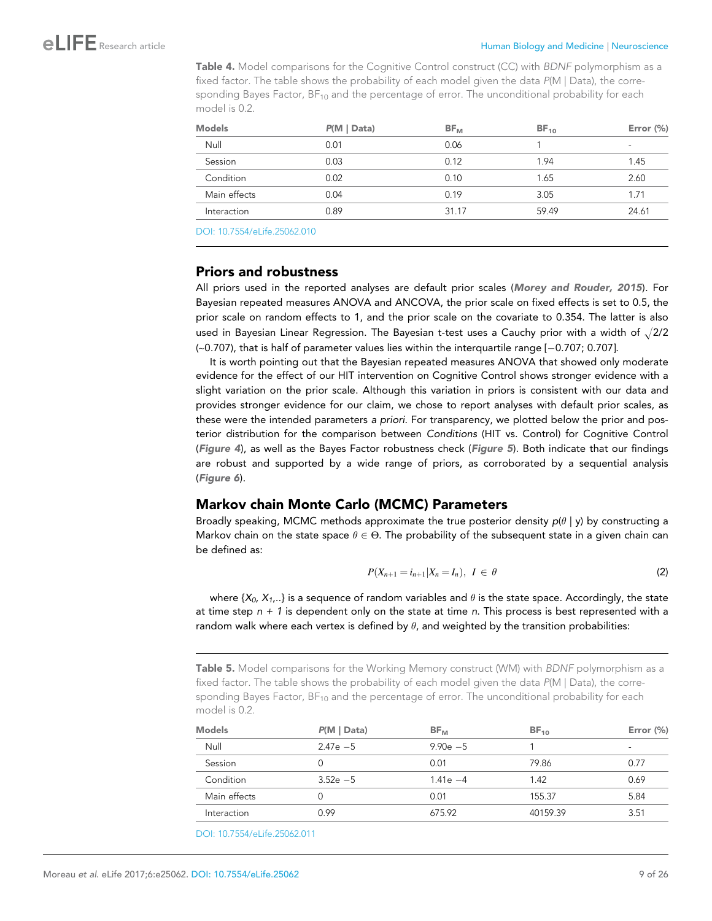<span id="page-8-0"></span>Table 4. Model comparisons for the Cognitive Control construct (CC) with BDNF polymorphism as a fixed factor. The table shows the probability of each model given the data P(M | Data), the corresponding Bayes Factor,  $BF_{10}$  and the percentage of error. The unconditional probability for each model is 0.2.

| P(M   Data) | $BF_{M}$ | $BF_{10}$ | Error $(\%)$ |
|-------------|----------|-----------|--------------|
| 0.01        | 0.06     |           | ۰            |
| 0.03        | 0.12     | 1.94      | 1.45         |
| 0.02        | 0.10     | 1.65      | 2.60         |
| 0.04        | 0.19     | 3.05      | 1.71         |
| 0.89        | 31.17    | 59.49     | 24.61        |
|             |          |           |              |

[DOI: 10.7554/eLife.25062.010](http://dx.doi.org/10.7554/eLife.25062.010Table%204.Model%20comparisons%20for%20the%20Cognitive%20Control%20construct%20(CC)%20with%20BDNF%20polymorphism%20as%20a%20fixed%20factor.&x00A0;The%20table%20shows%20the%20probability%20of%20each%20model%20given%20the%20data%20P(M%20|%20Data),%20the%20corresponding%20Bayes%20Factor,%20BF10%20and%20the%20percentage%20of%20error.%20The%20unconditional%20probability%20for%20each%20model%20is&x00A0;0.2.%2010.7554/eLife.25062.010ModelsP(M%20|%20Data)BFMBF10Error%20(%)&x2003;Null0.010.061-&x2003;Session0.030.121.941.45&x2003;Condition0.020.101.652.60&x2003;Main%20effects0.040.193.051.71&x2003;Interaction0.8931.1759.4924.61)

### Priors and robustness

All priors used in the reported analyses are default prior scales ([Morey and Rouder, 2015](#page-23-0)). For Bayesian repeated measures ANOVA and ANCOVA, the prior scale on fixed effects is set to 0.5, the prior scale on random effects to 1, and the prior scale on the covariate to 0.354. The latter is also used in Bayesian Linear Regression. The Bayesian t-test uses a Cauchy prior with a width of  $\sqrt{2/2}$  $(-0.707)$ , that is half of parameter values lies within the interquartile range  $[-0.707; 0.707]$ .

It is worth pointing out that the Bayesian repeated measures ANOVA that showed only moderate evidence for the effect of our HIT intervention on Cognitive Control shows stronger evidence with a slight variation on the prior scale. Although this variation in priors is consistent with our data and provides stronger evidence for our claim, we chose to report analyses with default prior scales, as these were the intended parameters *a priori.* For transparency, we plotted below the prior and posterior distribution for the comparison between *Conditions* (HIT vs. Control) for Cognitive Control ([Figure 4](#page-10-0)), as well as the Bayes Factor robustness check ([Figure 5](#page-11-0)). Both indicate that our findings are robust and supported by a wide range of priors, as corroborated by a sequential analysis ([Figure 6](#page-12-0)).

### Markov chain Monte Carlo (MCMC) Parameters

Broadly speaking, MCMC methods approximate the true posterior density  $p(\theta | y)$  by constructing a Markov chain on the state space  $\theta \in \Theta$ . The probability of the subsequent state in a given chain can be defined as:

$$
P(X_{n+1} = i_{n+1} | X_n = I_n), I \in \theta
$$
\n(2)

where  ${X_0, X_1, \ldots}$  is a sequence of random variables and  $\theta$  is the state space. Accordingly, the state at time step *n + 1* is dependent only on the state at time *n*. This process is best represented with a random walk where each vertex is defined by  $\theta$ , and weighted by the transition probabilities:

Table 5. Model comparisons for the Working Memory construct (WM) with BDNF polymorphism as a fixed factor. The table shows the probability of each model given the data P(M | Data), the corresponding Bayes Factor,  $BF_{10}$  and the percentage of error. The unconditional probability for each model is 0.2.

| <b>Models</b> | P(M   Data) | $BF_{M}$    | $BF_{10}$ | Error $(\%)$ |
|---------------|-------------|-------------|-----------|--------------|
| Null          | $2.47e - 5$ | $9.90e - 5$ |           | ۰            |
| Session       |             | 0.01        | 79.86     | 0.77         |
| Condition     | $3.52e - 5$ | $1.41e - 4$ | 1.42      | 0.69         |
| Main effects  |             | 0.01        | 155.37    | 5.84         |
| Interaction   | 0.99        | 675.92      | 40159.39  | 3.51         |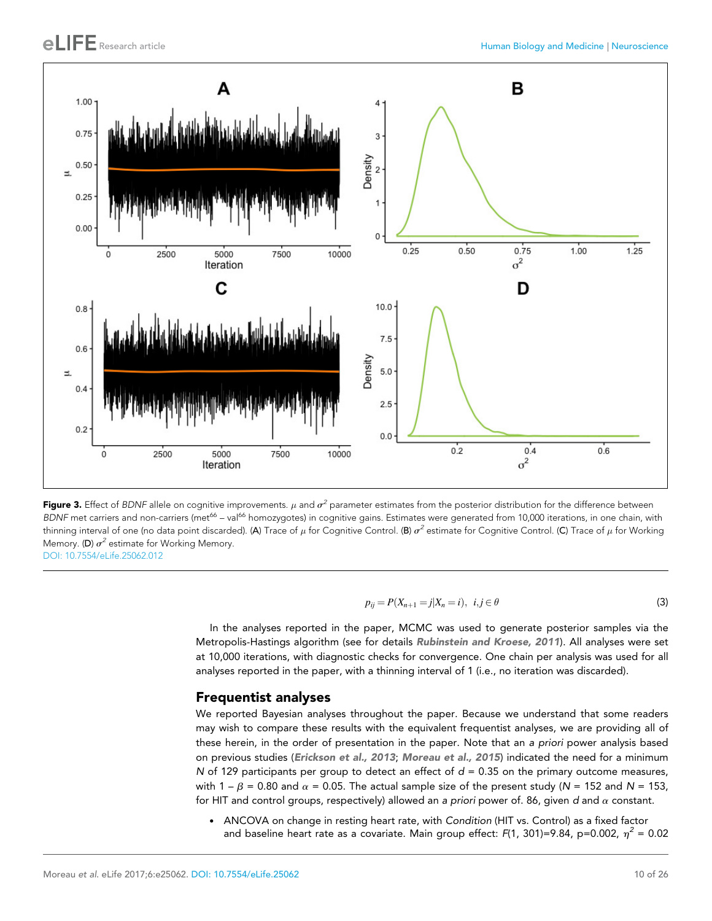<span id="page-9-0"></span>

Figure 3. Effect of BDNF allele on cognitive improvements.  $\mu$  and  $\sigma^2$  parameter estimates from the posterior distribution for the difference between BDNF met carriers and non-carriers (met<sup>66</sup> – val<sup>66</sup> homozygotes) in cognitive gains. Estimates were generated from 10,000 iterations, in one chain, with thinning interval of one (no data point discarded). (A) Trace of  $\mu$  for Cognitive Control. (B)  $\sigma^2$  estimate for Cognitive Control. (C) Trace of  $\mu$  for Working Memory. (D)  $\sigma^2$  estimate for Working Memory. [DOI: 10.7554/eLife.25062.012](http://dx.doi.org/10.7554/eLife.25062.012)

$$
p_{ij} = P(X_{n+1} = j | X_n = i), \ \ i, j \in \theta
$$
\n(3)

In the analyses reported in the paper, MCMC was used to generate posterior samples via the Metropolis-Hastings algorithm (see for details [Rubinstein and Kroese, 2011](#page-24-0)). All analyses were set at 10,000 iterations, with diagnostic checks for convergence. One chain per analysis was used for all analyses reported in the paper, with a thinning interval of 1 (i.e., no iteration was discarded).

#### Frequentist analyses

We reported Bayesian analyses throughout the paper. Because we understand that some readers may wish to compare these results with the equivalent frequentist analyses, we are providing all of these herein, in the order of presentation in the paper. Note that an *a priori* power analysis based on previous studies ([Erickson et al., 2013](#page-22-0); [Moreau et al., 2015](#page-23-0)) indicated the need for a minimum *N* of 129 participants per group to detect an effect of  $d = 0.35$  on the primary outcome measures, with  $1 - \beta = 0.80$  and  $\alpha = 0.05$ . The actual sample size of the present study (*N* = 152 and *N* = 153, for HIT and control groups, respectively) allowed an *a priori* power of. 86, given *d* and a constant.

. ANCOVA on change in resting heart rate, with *Condition* (HIT vs. Control) as a fixed factor and baseline heart rate as a covariate. Main group effect: F(1, 301)=9.84, p=0.002,  $\eta^2$  = 0.02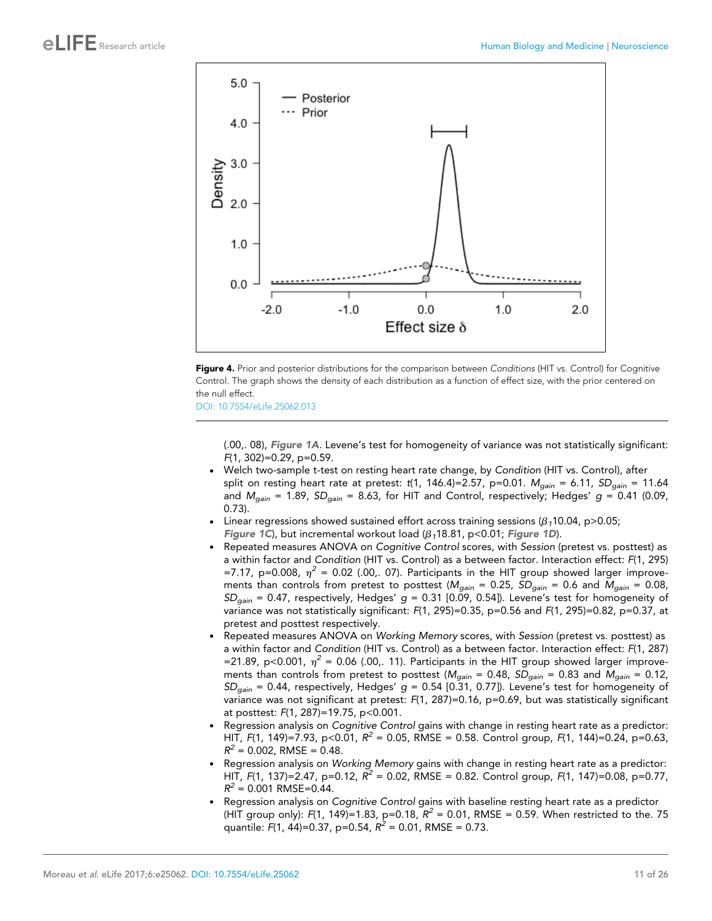<span id="page-10-0"></span>



[DOI: 10.7554/eLife.25062.013](http://dx.doi.org/10.7554/eLife.25062.013)

(.00,. 08), [Figure 1A](#page-4-0). Levene's test for homogeneity of variance was not statistically significant: *F*(1, 302)=0.29, p=0.59.

- . Welch two-sample t-test on resting heart rate change, by *Condition* (HIT vs. Control), after split on resting heart rate at pretest: *t*(1, 146.4)=2.57, p=0.01. *Mgain* = 6.11, *SDgain* = 11.64 and *Mgain* = 1.89, *SDgain* = 8.63, for HIT and Control, respectively; Hedges' *g* = 0.41 (0.09, 0.73).
- Linear regressions showed sustained effort across training sessions  $(\beta_1 10.04, p > 0.05)$ ; [Figure 1C](#page-4-0)), but incremental workout load  $(\beta_1 18.81, p<0.01$ ; [Figure 1D](#page-4-0)).
- . Repeated measures ANOVA on *Cognitive Control* scores, with *Session* (pretest vs. posttest) as a within factor and *Condition* (HIT vs. Control) as a between factor. Interaction effect: *F*(1, 295) =7.17, p=0.008,  $\eta^2$  = 0.02 (.00,. 07). Participants in the HIT group showed larger improvements than controls from pretest to posttest (*Mgain* = 0.25, *SDgain* = 0.6 and *Mgain* = 0.08, *SDgain* = 0.47, respectively, Hedges' *g* = 0.31 [0.09, 0.54]). Levene's test for homogeneity of variance was not statistically significant: *F*(1, 295)=0.35, p=0.56 and *F*(1, 295)=0.82, p=0.37, at pretest and posttest respectively.
- . Repeated measures ANOVA on *Working Memory* scores, with *Session* (pretest vs. posttest) as a within factor and *Condition* (HIT vs. Control) as a between factor. Interaction effect: *F*(1, 287) =21.89, p<0.001,  $\eta^2$  = 0.06 (.00,. 11). Participants in the HIT group showed larger improvements than controls from pretest to posttest (*Mgain* = 0.48, *SDgain* = 0.83 and *Mgain* = 0.12, *SDgain* = 0.44, respectively, Hedges' *g* = 0.54 [0.31, 0.77]). Levene's test for homogeneity of variance was not significant at pretest: *F*(1, 287)=0.16, p=0.69, but was statistically significant at posttest: *F*(1, 287)=19.75, p<0.001.
- . Regression analysis on *Cognitive Control* gains with change in resting heart rate as a predictor: HIT, *F*(1, 149)=7.93, p<0.01, *R <sup>2</sup>* = 0.05, RMSE = 0.58. Control group, *F*(1, 144)=0.24, p=0.63,  $R^2 = 0.002$ , RMSE = 0.48.
- . Regression analysis on *Working Memory* gains with change in resting heart rate as a predictor: HIT, *F*(1, 137)=2.47, p=0.12, *R <sup>2</sup>* = 0.02, RMSE = 0.82. Control group, *F*(1, 147)=0.08, p=0.77,  $R^2$  = 0.001 RMSE=0.44.
- . Regression analysis on *Cognitive Control* gains with baseline resting heart rate as a predictor (HIT group only):  $F(1, 149) = 1.83$ , p=0.18,  $R^2 = 0.01$ , RMSE = 0.59. When restricted to the. 75 quantile: *F*(1, 44)=0.37, p=0.54, *R <sup>2</sup>* = 0.01, RMSE = 0.73.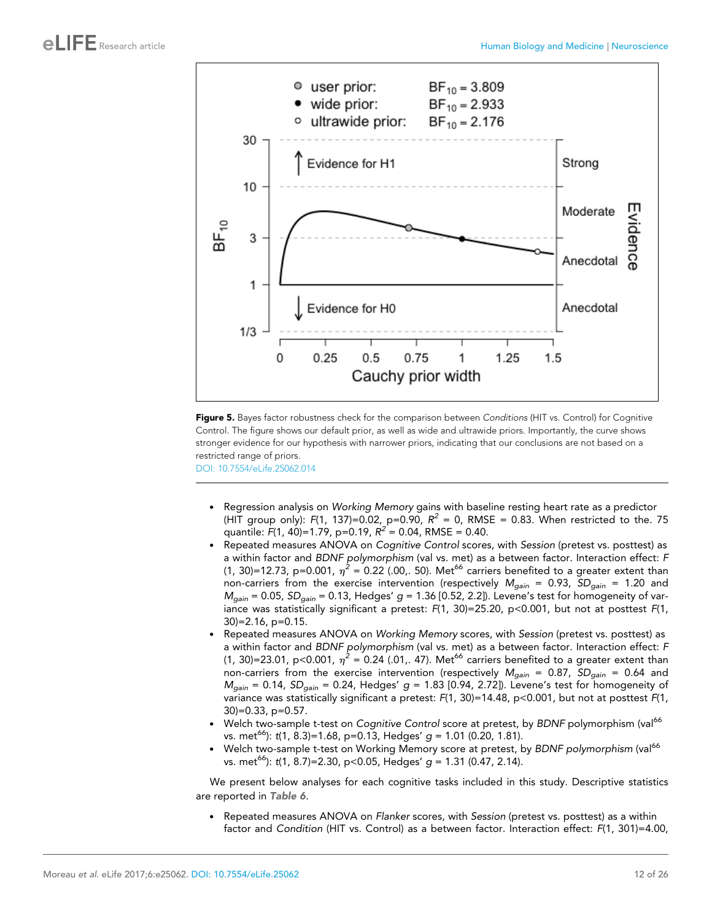<span id="page-11-0"></span>

Figure 5. Bayes factor robustness check for the comparison between Conditions (HIT vs. Control) for Cognitive Control. The figure shows our default prior, as well as wide and ultrawide priors. Importantly, the curve shows stronger evidence for our hypothesis with narrower priors, indicating that our conclusions are not based on a restricted range of priors.

[DOI: 10.7554/eLife.25062.014](http://dx.doi.org/10.7554/eLife.25062.014)

- . Regression analysis on *Working Memory* gains with baseline resting heart rate as a predictor (HIT group only):  $F(1, 137) = 0.02$ ,  $p = 0.90$ ,  $R^2 = 0$ , RMSE = 0.83. When restricted to the. 75 quantile: *F*(1, 40)=1.79, p=0.19, *R <sup>2</sup>* = 0.04, RMSE = 0.40.
- . Repeated measures ANOVA on *Cognitive Control* scores, with *Session* (pretest vs. posttest) as a within factor and *BDNF polymorphism* (val vs. met) as a between factor. Interaction effect: *F* (1, 30)=12.73, p=0.001,  $\eta^2$  = 0.22 (.00,. 50). Met<sup>66</sup> carriers benefited to a greater extent than non-carriers from the exercise intervention (respectively *Mgain* = 0.93, *SDgain* = 1.20 and *Mgain* = 0.05, *SDgain* = 0.13, Hedges' *g* = 1.36 [0.52, 2.2]). Levene's test for homogeneity of variance was statistically significant a pretest:  $F(1, 30) = 25.20$ , p<0.001, but not at posttest  $F(1, 30)$ 30)=2.16, p=0.15.
- . Repeated measures ANOVA on *Working Memory* scores, with *Session* (pretest vs. posttest) as a within factor and *BDNF polymorphism* (val vs. met) as a between factor. Interaction effect: *F* (1, 30)=23.01, p<0.001,  $\eta^2$  = 0.24 (.01,. 47). Met<sup>66</sup> carriers benefited to a greater extent than non-carriers from the exercise intervention (respectively *Mgain* = 0.87, *SDgain* = 0.64 and *Mgain* = 0.14, *SDgain* = 0.24, Hedges' *g* = 1.83 [0.94, 2.72]). Levene's test for homogeneity of variance was statistically significant a pretest: *F*(1, 30)=14.48, p<0.001, but not at posttest *F*(1, 30)=0.33, p=0.57.
- . Welch two-sample t-test on *Cognitive Control* score at pretest, by *BDNF* polymorphism (val<sup>66</sup> vs. met<sup>66</sup>): *t*(1, 8.3)=1.68, p=0.13, Hedges' *g* = 1.01 (0.20, 1.81).
- . Welch two-sample t-test on Working Memory score at pretest, by *BDNF polymorphism* (val<sup>66</sup> vs. met<sup>66</sup>): *t*(1, 8.7)=2.30, p<0.05, Hedges' *g* = 1.31 (0.47, 2.14).

We present below analyses for each cognitive tasks included in this study. Descriptive statistics are reported in [Table 6](#page-12-0).

. Repeated measures ANOVA on *Flanker* scores, with *Session* (pretest vs. posttest) as a within factor and *Condition* (HIT vs. Control) as a between factor. Interaction effect: *F*(1, 301)=4.00,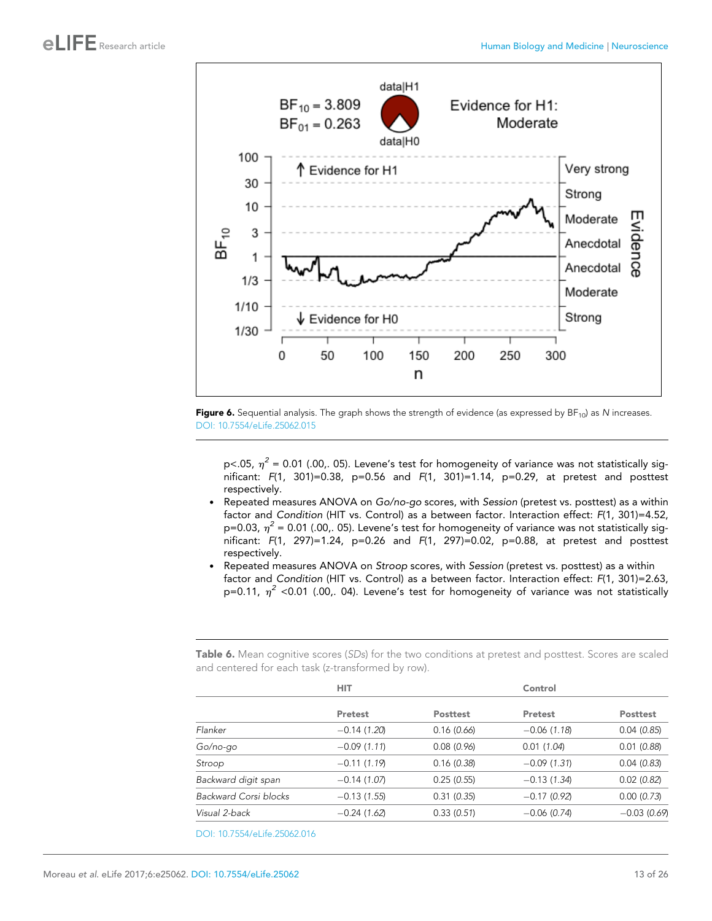<span id="page-12-0"></span>



p<.05,  $\eta^2$  = 0.01 (.00,. 05). Levene's test for homogeneity of variance was not statistically significant: *F*(1, 301)=0.38, p=0.56 and *F*(1, 301)=1.14, p=0.29, at pretest and posttest respectively.

- . Repeated measures ANOVA on *Go/no-go* scores, with *Session* (pretest vs. posttest) as a within factor and *Condition* (HIT vs. Control) as a between factor. Interaction effect: *F*(1, 301)=4.52, p=0.03,  $\eta^2$  = 0.01 (.00,. 05). Levene's test for homogeneity of variance was not statistically significant: *F*(1, 297)=1.24, p=0.26 and *F*(1, 297)=0.02, p=0.88, at pretest and posttest respectively.
- . Repeated measures ANOVA on *Stroop* scores, with *Session* (pretest vs. posttest) as a within factor and *Condition* (HIT vs. Control) as a between factor. Interaction effect: *F*(1, 301)=2.63, p=0.11,  $\eta^2$  <0.01 (.00,. 04). Levene's test for homogeneity of variance was not statistically

Table 6. Mean cognitive scores (SDs) for the two conditions at pretest and posttest. Scores are scaled and centered for each task (z-transformed by row).

| <b>Posttest</b> |
|-----------------|
| 0.04(0.85)      |
| 0.01(0.88)      |
| 0.04(0.83)      |
| 0.02(0.82)      |
| 0.00(0.73)      |
| $-0.03(0.69)$   |
|                 |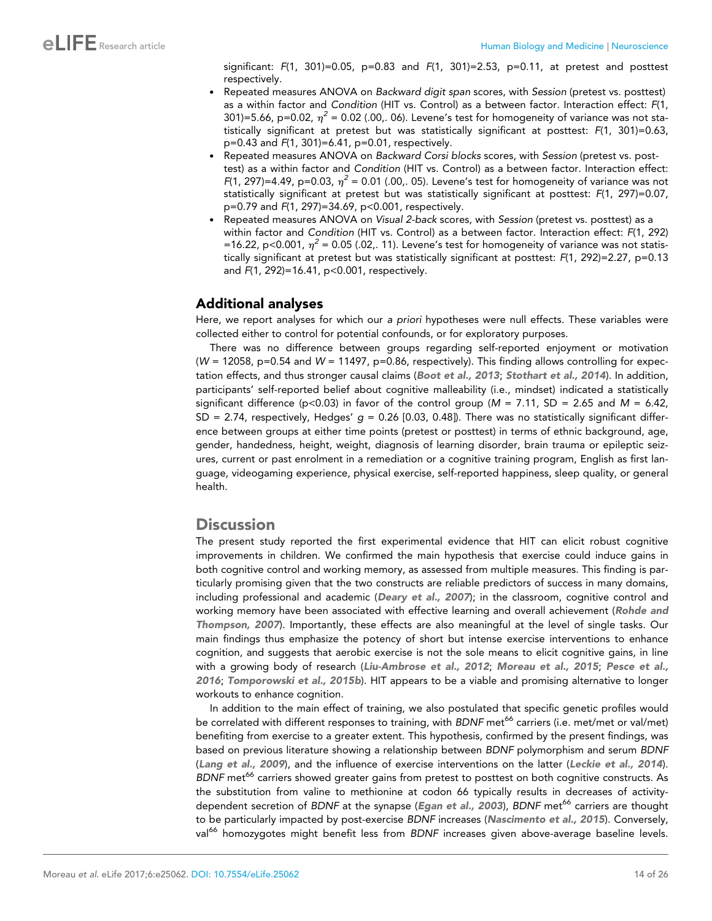significant: *F*(1, 301)=0.05, p=0.83 and *F*(1, 301)=2.53, p=0.11, at pretest and posttest respectively.

- . Repeated measures ANOVA on *Backward digit span* scores, with *Session* (pretest vs. posttest) as a within factor and *Condition* (HIT vs. Control) as a between factor. Interaction effect: *F*(1, 301)=5.66, p=0.02,  $\eta^2$  = 0.02 (.00,. 06). Levene's test for homogeneity of variance was not statistically significant at pretest but was statistically significant at posttest: *F*(1, 301)=0.63, p=0.43 and *F*(1, 301)=6.41, p=0.01, respectively.
- . Repeated measures ANOVA on *Backward Corsi blocks* scores, with *Session* (pretest vs. posttest) as a within factor and *Condition* (HIT vs. Control) as a between factor. Interaction effect: *F*(1, 297)=4.49, p=0.03,  $\eta^2$  = 0.01 (.00,. 05). Levene's test for homogeneity of variance was not statistically significant at pretest but was statistically significant at posttest: *F*(1, 297)=0.07, p=0.79 and *F*(1, 297)=34.69, p<0.001, respectively.
- . Repeated measures ANOVA on *Visual 2-back* scores, with *Session* (pretest vs. posttest) as a within factor and *Condition* (HIT vs. Control) as a between factor. Interaction effect: *F*(1, 292) =16.22, p<0.001,  $\eta^2$  = 0.05 (.02,. 11). Levene's test for homogeneity of variance was not statistically significant at pretest but was statistically significant at posttest: *F*(1, 292)=2.27, p=0.13 and *F*(1, 292)=16.41, p<0.001, respectively.

### Additional analyses

Here, we report analyses for which our *a priori* hypotheses were null effects. These variables were collected either to control for potential confounds, or for exploratory purposes.

There was no difference between groups regarding self-reported enjoyment or motivation (*W* = 12058, p=0.54 and *W* = 11497, p=0.86, respectively). This finding allows controlling for expectation effects, and thus stronger causal claims ([Boot et al., 2013](#page-21-0); [Stothart et al., 2014](#page-24-0)). In addition, participants' self-reported belief about cognitive malleability (i.e., mindset) indicated a statistically significant difference ( $p$ <0.03) in favor of the control group ( $M = 7.11$ , SD = 2.65 and  $M = 6.42$ , SD = 2.74, respectively, Hedges' *g* = 0.26 [0.03, 0.48]). There was no statistically significant difference between groups at either time points (pretest or posttest) in terms of ethnic background, age, gender, handedness, height, weight, diagnosis of learning disorder, brain trauma or epileptic seizures, current or past enrolment in a remediation or a cognitive training program, English as first language, videogaming experience, physical exercise, self-reported happiness, sleep quality, or general health.

## **Discussion**

The present study reported the first experimental evidence that HIT can elicit robust cognitive improvements in children. We confirmed the main hypothesis that exercise could induce gains in both cognitive control and working memory, as assessed from multiple measures. This finding is particularly promising given that the two constructs are reliable predictors of success in many domains, including professional and academic ([Deary et al., 2007](#page-21-0)); in the classroom, cognitive control and working memory have been associated with effective learning and overall achievement ([Rohde and](#page-24-0) [Thompson, 2007](#page-24-0)). Importantly, these effects are also meaningful at the level of single tasks. Our main findings thus emphasize the potency of short but intense exercise interventions to enhance cognition, and suggests that aerobic exercise is not the sole means to elicit cognitive gains, in line with a growing body of research ([Liu-Ambrose et al., 2012](#page-23-0); [Moreau et al., 2015](#page-23-0); [Pesce et al.,](#page-24-0) [2016](#page-24-0); [Tomporowski et al., 2015b](#page-24-0)). HIT appears to be a viable and promising alternative to longer workouts to enhance cognition.

In addition to the main effect of training, we also postulated that specific genetic profiles would be correlated with different responses to training, with *BDNF* met<sup>66</sup> carriers (i.e. met/met or val/met) benefiting from exercise to a greater extent. This hypothesis, confirmed by the present findings, was based on previous literature showing a relationship between *BDNF* polymorphism and serum *BDNF* ([Lang et al., 2009](#page-23-0)), and the influence of exercise interventions on the latter ([Leckie et al., 2014](#page-23-0)). *BDNF* met<sup>66</sup> carriers showed greater gains from pretest to posttest on both cognitive constructs. As the substitution from valine to methionine at codon 66 typically results in decreases of activitydependent secretion of *BDNF* at the synapse (*[Egan et al., 2003](#page-21-0)*), *BDNF* met<sup>66</sup> carriers are thought to be particularly impacted by post-exercise *BDNF* increases ([Nascimento et al., 2015](#page-23-0)). Conversely, val<sup>66</sup> homozygotes might benefit less from *BDNF* increases given above-average baseline levels.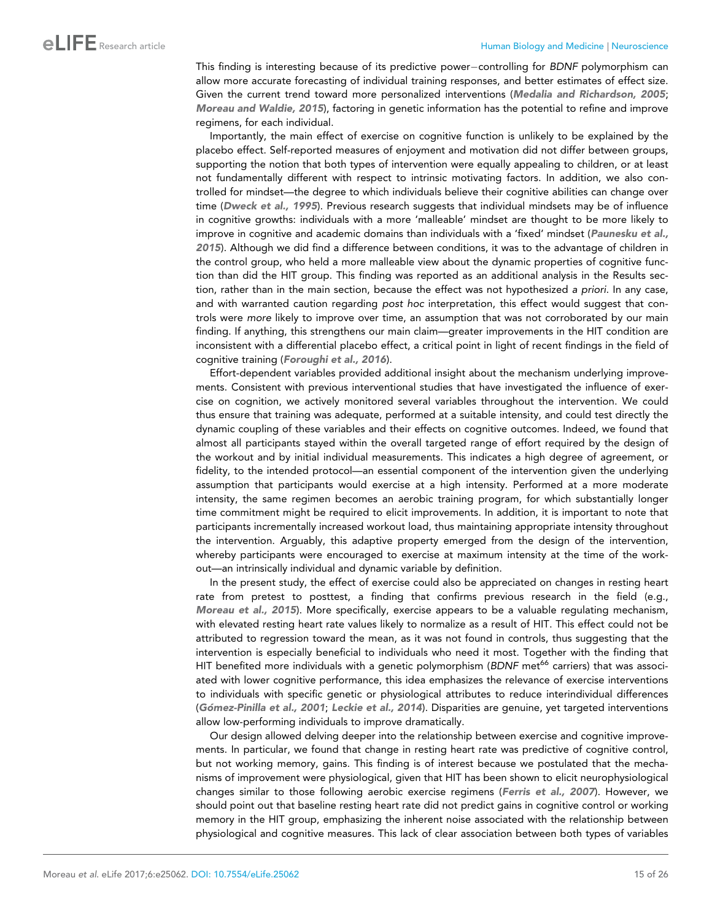This finding is interesting because of its predictive power-controlling for *BDNF* polymorphism can allow more accurate forecasting of individual training responses, and better estimates of effect size. Given the current trend toward more personalized interventions ([Medalia and Richardson, 2005](#page-23-0); [Moreau and Waldie, 2015](#page-23-0)), factoring in genetic information has the potential to refine and improve regimens, for each individual.

Importantly, the main effect of exercise on cognitive function is unlikely to be explained by the placebo effect. Self-reported measures of enjoyment and motivation did not differ between groups, supporting the notion that both types of intervention were equally appealing to children, or at least not fundamentally different with respect to intrinsic motivating factors. In addition, we also controlled for mindset—the degree to which individuals believe their cognitive abilities can change over time ([Dweck et al., 1995](#page-21-0)). Previous research suggests that individual mindsets may be of influence in cognitive growths: individuals with a more 'malleable' mindset are thought to be more likely to improve in cognitive and academic domains than individuals with a 'fixed' mindset ([Paunesku et al.,](#page-23-0) [2015](#page-23-0)). Although we did find a difference between conditions, it was to the advantage of children in the control group, who held a more malleable view about the dynamic properties of cognitive function than did the HIT group. This finding was reported as an additional analysis in the Results section, rather than in the main section, because the effect was not hypothesized *a priori*. In any case, and with warranted caution regarding *post hoc* interpretation, this effect would suggest that controls were *more* likely to improve over time, an assumption that was not corroborated by our main finding. If anything, this strengthens our main claim—greater improvements in the HIT condition are inconsistent with a differential placebo effect, a critical point in light of recent findings in the field of cognitive training ([Foroughi et al., 2016](#page-22-0)).

Effort-dependent variables provided additional insight about the mechanism underlying improvements. Consistent with previous interventional studies that have investigated the influence of exercise on cognition, we actively monitored several variables throughout the intervention. We could thus ensure that training was adequate, performed at a suitable intensity, and could test directly the dynamic coupling of these variables and their effects on cognitive outcomes. Indeed, we found that almost all participants stayed within the overall targeted range of effort required by the design of the workout and by initial individual measurements. This indicates a high degree of agreement, or fidelity, to the intended protocol—an essential component of the intervention given the underlying assumption that participants would exercise at a high intensity. Performed at a more moderate intensity, the same regimen becomes an aerobic training program, for which substantially longer time commitment might be required to elicit improvements. In addition, it is important to note that participants incrementally increased workout load, thus maintaining appropriate intensity throughout the intervention. Arguably, this adaptive property emerged from the design of the intervention, whereby participants were encouraged to exercise at maximum intensity at the time of the workout—an intrinsically individual and dynamic variable by definition.

In the present study, the effect of exercise could also be appreciated on changes in resting heart rate from pretest to posttest, a finding that confirms previous research in the field (e.g., [Moreau et al., 2015](#page-23-0)). More specifically, exercise appears to be a valuable regulating mechanism, with elevated resting heart rate values likely to normalize as a result of HIT. This effect could not be attributed to regression toward the mean, as it was not found in controls, thus suggesting that the intervention is especially beneficial to individuals who need it most. Together with the finding that HIT benefited more individuals with a genetic polymorphism (*BDNF* met<sup>66</sup> carriers) that was associated with lower cognitive performance, this idea emphasizes the relevance of exercise interventions to individuals with specific genetic or physiological attributes to reduce interindividual differences ([Go´mez-Pinilla et al., 2001](#page-22-0); [Leckie et al., 2014](#page-23-0)). Disparities are genuine, yet targeted interventions allow low-performing individuals to improve dramatically.

Our design allowed delving deeper into the relationship between exercise and cognitive improvements. In particular, we found that change in resting heart rate was predictive of cognitive control, but not working memory, gains. This finding is of interest because we postulated that the mechanisms of improvement were physiological, given that HIT has been shown to elicit neurophysiological changes similar to those following aerobic exercise regimens ([Ferris et al., 2007](#page-22-0)). However, we should point out that baseline resting heart rate did not predict gains in cognitive control or working memory in the HIT group, emphasizing the inherent noise associated with the relationship between physiological and cognitive measures. This lack of clear association between both types of variables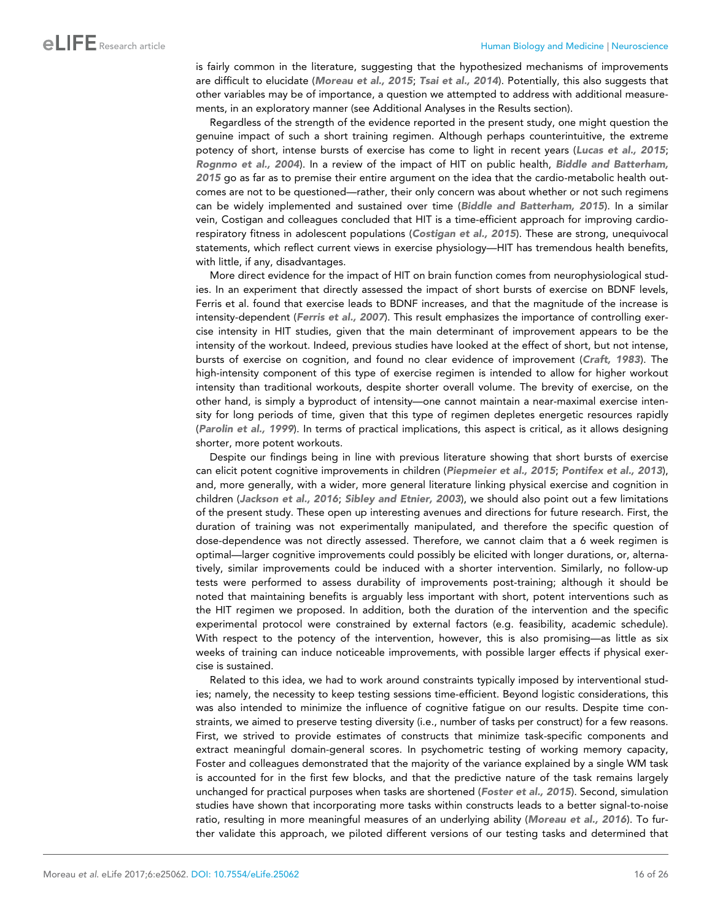is fairly common in the literature, suggesting that the hypothesized mechanisms of improvements are difficult to elucidate ([Moreau et al., 2015](#page-23-0); [Tsai et al., 2014](#page-24-0)). Potentially, this also suggests that other variables may be of importance, a question we attempted to address with additional measurements, in an exploratory manner (see Additional Analyses in the Results section).

Regardless of the strength of the evidence reported in the present study, one might question the genuine impact of such a short training regimen. Although perhaps counterintuitive, the extreme potency of short, intense bursts of exercise has come to light in recent years ([Lucas et al., 2015](#page-23-0); [Rognmo et al., 2004](#page-24-0)). In a review of the impact of HIT on public health, [Biddle and Batterham,](#page-21-0) [2015](#page-21-0) go as far as to premise their entire argument on the idea that the cardio-metabolic health outcomes are not to be questioned—rather, their only concern was about whether or not such regimens can be widely implemented and sustained over time ([Biddle and Batterham, 2015](#page-21-0)). In a similar vein, Costigan and colleagues concluded that HIT is a time-efficient approach for improving cardiorespiratory fitness in adolescent populations ([Costigan et al., 2015](#page-21-0)). These are strong, unequivocal statements, which reflect current views in exercise physiology—HIT has tremendous health benefits, with little, if any, disadvantages.

More direct evidence for the impact of HIT on brain function comes from neurophysiological studies. In an experiment that directly assessed the impact of short bursts of exercise on BDNF levels, Ferris et al. found that exercise leads to BDNF increases, and that the magnitude of the increase is intensity-dependent ([Ferris et al., 2007](#page-22-0)). This result emphasizes the importance of controlling exercise intensity in HIT studies, given that the main determinant of improvement appears to be the intensity of the workout. Indeed, previous studies have looked at the effect of short, but not intense, bursts of exercise on cognition, and found no clear evidence of improvement ([Craft, 1983](#page-21-0)). The high-intensity component of this type of exercise regimen is intended to allow for higher workout intensity than traditional workouts, despite shorter overall volume. The brevity of exercise, on the other hand, is simply a byproduct of intensity—one cannot maintain a near-maximal exercise intensity for long periods of time, given that this type of regimen depletes energetic resources rapidly ([Parolin et al., 1999](#page-23-0)). In terms of practical implications, this aspect is critical, as it allows designing shorter, more potent workouts.

Despite our findings being in line with previous literature showing that short bursts of exercise can elicit potent cognitive improvements in children ([Piepmeier et al., 2015](#page-24-0); [Pontifex et al., 2013](#page-24-0)), and, more generally, with a wider, more general literature linking physical exercise and cognition in children ([Jackson et al., 2016](#page-22-0); [Sibley and Etnier, 2003](#page-24-0)), we should also point out a few limitations of the present study. These open up interesting avenues and directions for future research. First, the duration of training was not experimentally manipulated, and therefore the specific question of dose-dependence was not directly assessed. Therefore, we cannot claim that a 6 week regimen is optimal—larger cognitive improvements could possibly be elicited with longer durations, or, alternatively, similar improvements could be induced with a shorter intervention. Similarly, no follow-up tests were performed to assess durability of improvements post-training; although it should be noted that maintaining benefits is arguably less important with short, potent interventions such as the HIT regimen we proposed. In addition, both the duration of the intervention and the specific experimental protocol were constrained by external factors (e.g. feasibility, academic schedule). With respect to the potency of the intervention, however, this is also promising—as little as six weeks of training can induce noticeable improvements, with possible larger effects if physical exercise is sustained.

Related to this idea, we had to work around constraints typically imposed by interventional studies; namely, the necessity to keep testing sessions time-efficient. Beyond logistic considerations, this was also intended to minimize the influence of cognitive fatigue on our results. Despite time constraints, we aimed to preserve testing diversity (i.e., number of tasks per construct) for a few reasons. First, we strived to provide estimates of constructs that minimize task-specific components and extract meaningful domain-general scores. In psychometric testing of working memory capacity, Foster and colleagues demonstrated that the majority of the variance explained by a single WM task is accounted for in the first few blocks, and that the predictive nature of the task remains largely unchanged for practical purposes when tasks are shortened ([Foster et al., 2015](#page-22-0)). Second, simulation studies have shown that incorporating more tasks within constructs leads to a better signal-to-noise ratio, resulting in more meaningful measures of an underlying ability ([Moreau et al., 2016](#page-23-0)). To further validate this approach, we piloted different versions of our testing tasks and determined that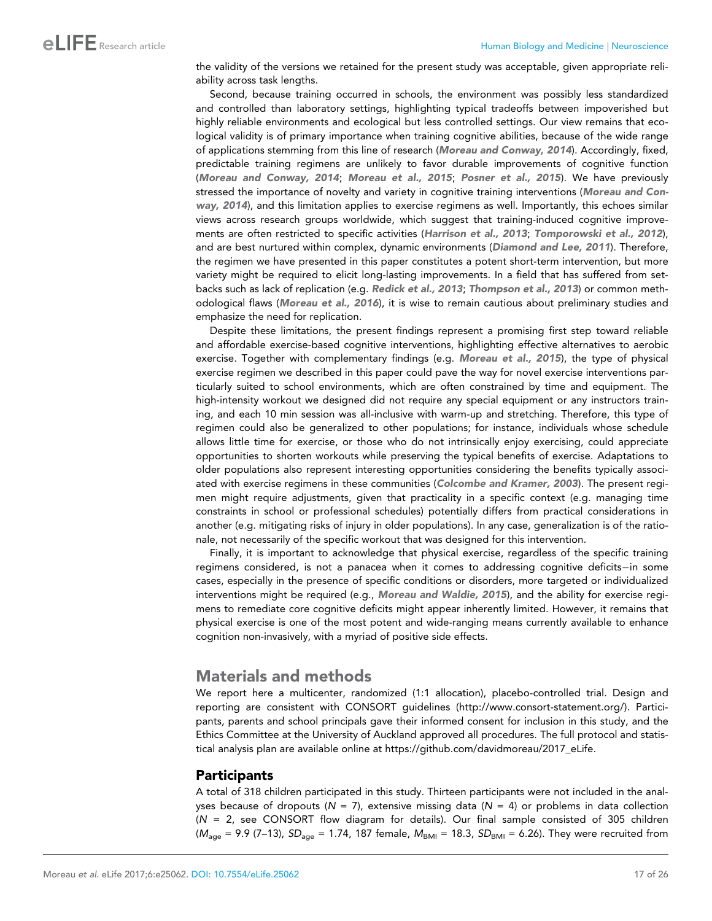the validity of the versions we retained for the present study was acceptable, given appropriate reliability across task lengths.

Second, because training occurred in schools, the environment was possibly less standardized and controlled than laboratory settings, highlighting typical tradeoffs between impoverished but highly reliable environments and ecological but less controlled settings. Our view remains that ecological validity is of primary importance when training cognitive abilities, because of the wide range of applications stemming from this line of research ([Moreau and Conway, 2014](#page-23-0)). Accordingly, fixed, predictable training regimens are unlikely to favor durable improvements of cognitive function ([Moreau and Conway, 2014](#page-23-0); [Moreau et al., 2015](#page-23-0); [Posner et al., 2015](#page-24-0)). We have previously stressed the importance of novelty and variety in cognitive training interventions ([Moreau and Con](#page-23-0)[way, 2014](#page-23-0)), and this limitation applies to exercise regimens as well. Importantly, this echoes similar views across research groups worldwide, which suggest that training-induced cognitive improvements are often restricted to specific activities ([Harrison et al., 2013](#page-22-0); [Tomporowski et al., 2012](#page-24-0)), and are best nurtured within complex, dynamic environments ([Diamond and Lee, 2011](#page-21-0)). Therefore, the regimen we have presented in this paper constitutes a potent short-term intervention, but more variety might be required to elicit long-lasting improvements. In a field that has suffered from setbacks such as lack of replication (e.g. [Redick et al., 2013](#page-24-0); [Thompson et al., 2013](#page-24-0)) or common methodological flaws ([Moreau et al., 2016](#page-23-0)), it is wise to remain cautious about preliminary studies and emphasize the need for replication.

Despite these limitations, the present findings represent a promising first step toward reliable and affordable exercise-based cognitive interventions, highlighting effective alternatives to aerobic exercise. Together with complementary findings (e.g. [Moreau et al., 2015](#page-23-0)), the type of physical exercise regimen we described in this paper could pave the way for novel exercise interventions particularly suited to school environments, which are often constrained by time and equipment. The high-intensity workout we designed did not require any special equipment or any instructors training, and each 10 min session was all-inclusive with warm-up and stretching. Therefore, this type of regimen could also be generalized to other populations; for instance, individuals whose schedule allows little time for exercise, or those who do not intrinsically enjoy exercising, could appreciate opportunities to shorten workouts while preserving the typical benefits of exercise. Adaptations to older populations also represent interesting opportunities considering the benefits typically associated with exercise regimens in these communities ([Colcombe and Kramer, 2003](#page-21-0)). The present regimen might require adjustments, given that practicality in a specific context (e.g. managing time constraints in school or professional schedules) potentially differs from practical considerations in another (e.g. mitigating risks of injury in older populations). In any case, generalization is of the rationale, not necessarily of the specific workout that was designed for this intervention.

Finally, it is important to acknowledge that physical exercise, regardless of the specific training regimens considered, is not a panacea when it comes to addressing cognitive deficits-in some cases, especially in the presence of specific conditions or disorders, more targeted or individualized interventions might be required (e.g., [Moreau and Waldie, 2015](#page-23-0)), and the ability for exercise regimens to remediate core cognitive deficits might appear inherently limited. However, it remains that physical exercise is one of the most potent and wide-ranging means currently available to enhance cognition non-invasively, with a myriad of positive side effects.

# Materials and methods

We report here a multicenter, randomized (1:1 allocation), placebo-controlled trial. Design and reporting are consistent with CONSORT guidelines ([http://www.consort-statement.org/\)](http://www.consort-statement.org/). Participants, parents and school principals gave their informed consent for inclusion in this study, and the Ethics Committee at the University of Auckland approved all procedures. The full protocol and statistical analysis plan are available online at [https://github.com/davidmoreau/2017\\_eLife](https://github.com/davidmoreau/2017_eLife).

#### Participants

A total of 318 children participated in this study. Thirteen participants were not included in the analyses because of dropouts ( $N = 7$ ), extensive missing data ( $N = 4$ ) or problems in data collection (*N* = 2, see CONSORT flow diagram for details). Our final sample consisted of 305 children ( $M_{\text{aqe}}$  = 9.9 (7–13), *SD*<sub>age</sub> = 1.74, 187 female,  $M_{\text{BMI}}$  = 18.3, *SD*<sub>BMI</sub> = 6.26). They were recruited from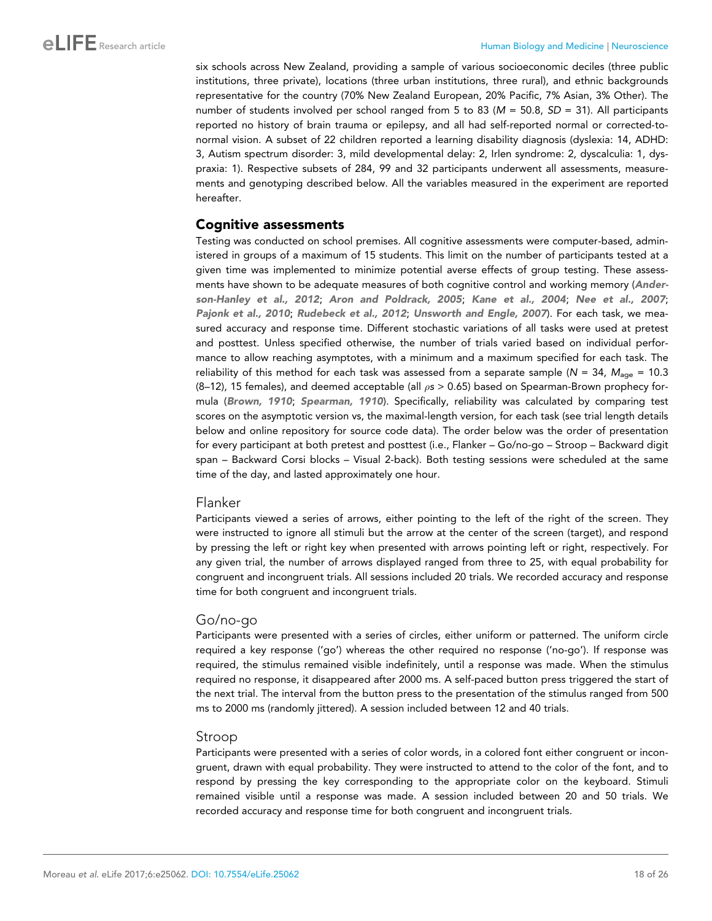six schools across New Zealand, providing a sample of various socioeconomic deciles (three public institutions, three private), locations (three urban institutions, three rural), and ethnic backgrounds representative for the country (70% New Zealand European, 20% Pacific, 7% Asian, 3% Other). The number of students involved per school ranged from 5 to 83 (*M* = 50.8, *SD* = 31). All participants reported no history of brain trauma or epilepsy, and all had self-reported normal or corrected-tonormal vision. A subset of 22 children reported a learning disability diagnosis (dyslexia: 14, ADHD: 3, Autism spectrum disorder: 3, mild developmental delay: 2, Irlen syndrome: 2, dyscalculia: 1, dyspraxia: 1). Respective subsets of 284, 99 and 32 participants underwent all assessments, measurements and genotyping described below. All the variables measured in the experiment are reported hereafter.

#### Cognitive assessments

Testing was conducted on school premises. All cognitive assessments were computer-based, administered in groups of a maximum of 15 students. This limit on the number of participants tested at a given time was implemented to minimize potential averse effects of group testing. These assessments have shown to be adequate measures of both cognitive control and working memory ([Ander](#page-20-0)[son-Hanley et al., 2012](#page-20-0); [Aron and Poldrack, 2005](#page-20-0); [Kane et al., 2004](#page-22-0); [Nee et al., 2007](#page-23-0); [Pajonk et al., 2010](#page-23-0); [Rudebeck et al., 2012](#page-24-0); [Unsworth and Engle, 2007](#page-25-0)). For each task, we measured accuracy and response time. Different stochastic variations of all tasks were used at pretest and posttest. Unless specified otherwise, the number of trials varied based on individual performance to allow reaching asymptotes, with a minimum and a maximum specified for each task. The reliability of this method for each task was assessed from a separate sample ( $N = 34$ ,  $M_{\text{a}ee} = 10.3$ (8–12), 15 females), and deemed acceptable (all *s* > 0.65) based on Spearman-Brown prophecy formula ([Brown, 1910](#page-21-0); [Spearman, 1910](#page-24-0)). Specifically, reliability was calculated by comparing test scores on the asymptotic version vs, the maximal-length version, for each task (see trial length details below and online repository for source code data). The order below was the order of presentation for every participant at both pretest and posttest (i.e., Flanker – Go/no-go – Stroop – Backward digit span – Backward Corsi blocks – Visual 2-back). Both testing sessions were scheduled at the same time of the day, and lasted approximately one hour.

#### Flanker

Participants viewed a series of arrows, either pointing to the left of the right of the screen. They were instructed to ignore all stimuli but the arrow at the center of the screen (target), and respond by pressing the left or right key when presented with arrows pointing left or right, respectively. For any given trial, the number of arrows displayed ranged from three to 25, with equal probability for congruent and incongruent trials. All sessions included 20 trials. We recorded accuracy and response time for both congruent and incongruent trials.

#### Go/no-go

Participants were presented with a series of circles, either uniform or patterned. The uniform circle required a key response ('go') whereas the other required no response ('no-go'). If response was required, the stimulus remained visible indefinitely, until a response was made. When the stimulus required no response, it disappeared after 2000 ms. A self-paced button press triggered the start of the next trial. The interval from the button press to the presentation of the stimulus ranged from 500 ms to 2000 ms (randomly jittered). A session included between 12 and 40 trials.

#### Stroop

Participants were presented with a series of color words, in a colored font either congruent or incongruent, drawn with equal probability. They were instructed to attend to the color of the font, and to respond by pressing the key corresponding to the appropriate color on the keyboard. Stimuli remained visible until a response was made. A session included between 20 and 50 trials. We recorded accuracy and response time for both congruent and incongruent trials.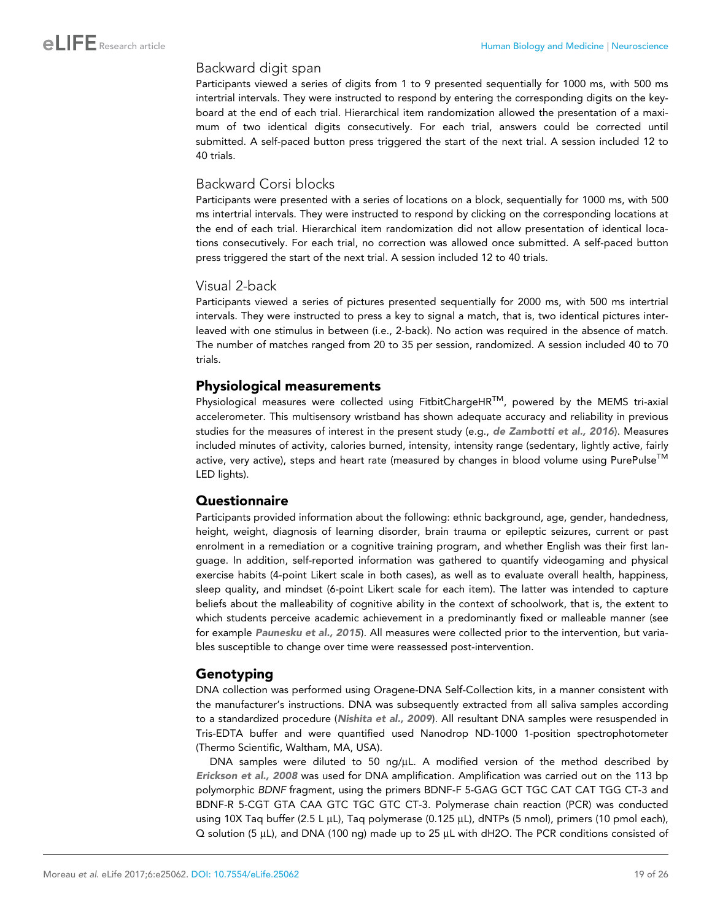#### Backward digit span

Participants viewed a series of digits from 1 to 9 presented sequentially for 1000 ms, with 500 ms intertrial intervals. They were instructed to respond by entering the corresponding digits on the keyboard at the end of each trial. Hierarchical item randomization allowed the presentation of a maximum of two identical digits consecutively. For each trial, answers could be corrected until submitted. A self-paced button press triggered the start of the next trial. A session included 12 to 40 trials.

#### Backward Corsi blocks

Participants were presented with a series of locations on a block, sequentially for 1000 ms, with 500 ms intertrial intervals. They were instructed to respond by clicking on the corresponding locations at the end of each trial. Hierarchical item randomization did not allow presentation of identical locations consecutively. For each trial, no correction was allowed once submitted. A self-paced button press triggered the start of the next trial. A session included 12 to 40 trials.

#### Visual 2-back

Participants viewed a series of pictures presented sequentially for 2000 ms, with 500 ms intertrial intervals. They were instructed to press a key to signal a match, that is, two identical pictures interleaved with one stimulus in between (i.e., 2-back). No action was required in the absence of match. The number of matches ranged from 20 to 35 per session, randomized. A session included 40 to 70 trials.

#### Physiological measurements

Physiological measures were collected using FitbitChargeHR<sup>TM</sup>, powered by the MEMS tri-axial accelerometer. This multisensory wristband has shown adequate accuracy and reliability in previous studies for the measures of interest in the present study (e.g., [de Zambotti et al., 2016](#page-21-0)). Measures included minutes of activity, calories burned, intensity, intensity range (sedentary, lightly active, fairly active, very active), steps and heart rate (measured by changes in blood volume using PurePulse<sup>TM</sup> LED lights).

#### Questionnaire

Participants provided information about the following: ethnic background, age, gender, handedness, height, weight, diagnosis of learning disorder, brain trauma or epileptic seizures, current or past enrolment in a remediation or a cognitive training program, and whether English was their first language. In addition, self-reported information was gathered to quantify videogaming and physical exercise habits (4-point Likert scale in both cases), as well as to evaluate overall health, happiness, sleep quality, and mindset (6-point Likert scale for each item). The latter was intended to capture beliefs about the malleability of cognitive ability in the context of schoolwork, that is, the extent to which students perceive academic achievement in a predominantly fixed or malleable manner (see for example [Paunesku et al., 2015](#page-23-0)). All measures were collected prior to the intervention, but variables susceptible to change over time were reassessed post-intervention.

#### Genotyping

DNA collection was performed using Oragene-DNA Self-Collection kits, in a manner consistent with the manufacturer's instructions. DNA was subsequently extracted from all saliva samples according to a standardized procedure ([Nishita et al., 2009](#page-23-0)). All resultant DNA samples were resuspended in Tris-EDTA buffer and were quantified used Nanodrop ND-1000 1-position spectrophotometer (Thermo Scientific, Waltham, MA, USA).

DNA samples were diluted to 50 ng/ $\mu$ L. A modified version of the method described by [Erickson et al., 2008](#page-22-0) was used for DNA amplification. Amplification was carried out on the 113 bp polymorphic *BDNF* fragment, using the primers BDNF-F 5-GAG GCT TGC CAT CAT TGG CT-3 and BDNF-R 5-CGT GTA CAA GTC TGC GTC CT-3. Polymerase chain reaction (PCR) was conducted using 10X Taq buffer (2.5 L  $\mu$ L), Taq polymerase (0.125  $\mu$ L), dNTPs (5 nmol), primers (10 pmol each), Q solution (5 µL), and DNA (100 ng) made up to 25 µL with dH2O. The PCR conditions consisted of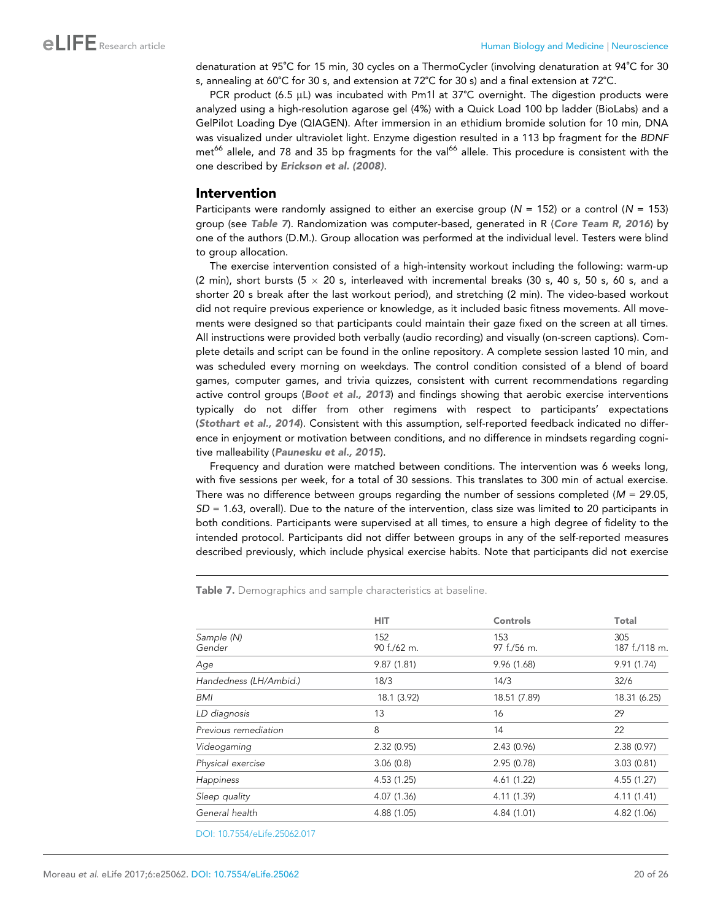denaturation at 95˚C for 15 min, 30 cycles on a ThermoCycler (involving denaturation at 94˚C for 30 s, annealing at 60˚C for 30 s, and extension at 72˚C for 30 s) and a final extension at 72˚C.

PCR product (6.5  $\mu$ L) was incubated with Pm1l at 37°C overnight. The digestion products were analyzed using a high-resolution agarose gel (4%) with a Quick Load 100 bp ladder (BioLabs) and a GelPilot Loading Dye (QIAGEN). After immersion in an ethidium bromide solution for 10 min, DNA was visualized under ultraviolet light. Enzyme digestion resulted in a 113 bp fragment for the *BDNF* met<sup>66</sup> allele, and 78 and 35 bp fragments for the val<sup>66</sup> allele. This procedure is consistent with the one described by [Erickson et al. \(2008\)](#page-22-0).

#### Intervention

Participants were randomly assigned to either an exercise group (*N* = 152) or a control (*N* = 153) group (see Table 7). Randomization was computer-based, generated in R ([Core Team R, 2016](#page-21-0)) by one of the authors (D.M.). Group allocation was performed at the individual level. Testers were blind to group allocation.

The exercise intervention consisted of a high-intensity workout including the following: warm-up (2 min), short bursts (5  $\times$  20 s, interleaved with incremental breaks (30 s, 40 s, 50 s, 60 s, and a shorter 20 s break after the last workout period), and stretching (2 min). The video-based workout did not require previous experience or knowledge, as it included basic fitness movements. All movements were designed so that participants could maintain their gaze fixed on the screen at all times. All instructions were provided both verbally (audio recording) and visually (on-screen captions). Complete details and script can be found in the online repository. A complete session lasted 10 min, and was scheduled every morning on weekdays. The control condition consisted of a blend of board games, computer games, and trivia quizzes, consistent with current recommendations regarding active control groups ([Boot et al., 2013](#page-21-0)) and findings showing that aerobic exercise interventions typically do not differ from other regimens with respect to participants' expectations ([Stothart et al., 2014](#page-24-0)). Consistent with this assumption, self-reported feedback indicated no difference in enjoyment or motivation between conditions, and no difference in mindsets regarding cognitive malleability ([Paunesku et al., 2015](#page-23-0)).

Frequency and duration were matched between conditions. The intervention was 6 weeks long, with five sessions per week, for a total of 30 sessions. This translates to 300 min of actual exercise. There was no difference between groups regarding the number of sessions completed (*M* = 29.05, *SD* = 1.63, overall). Due to the nature of the intervention, class size was limited to 20 participants in both conditions. Participants were supervised at all times, to ensure a high degree of fidelity to the intended protocol. Participants did not differ between groups in any of the self-reported measures described previously, which include physical exercise habits. Note that participants did not exercise

Table 7. Demographics and sample characteristics at baseline.

|                        | <b>HIT</b>         | Controls           | Total                |
|------------------------|--------------------|--------------------|----------------------|
| Sample (N)<br>Gender   | 152<br>90 f./62 m. | 153<br>97 f./56 m. | 305<br>187 f./118 m. |
| Age                    | 9.87(1.81)         | 9.96(1.68)         | 9.91(1.74)           |
| Handedness (LH/Ambid.) | 18/3               | 14/3               | 32/6                 |
| BMI                    | 18.1 (3.92)        | 18.51 (7.89)       | 18.31 (6.25)         |
| LD diagnosis           | 13                 | 16                 | 29                   |
| Previous remediation   | 8                  | 14                 | 22                   |
| Videogaming            | 2.32(0.95)         | 2.43(0.96)         | 2.38(0.97)           |
| Physical exercise      | 3.06(0.8)          | 2.95(0.78)         | 3.03(0.81)           |
| Happiness              | 4.53(1.25)         | 4.61(1.22)         | 4.55(1.27)           |
| Sleep quality          | 4.07(1.36)         | 4.11 (1.39)        | 4.11(1.41)           |
| General health         | 4.88 (1.05)        | 4.84 (1.01)        | 4.82 (1.06)          |
|                        |                    |                    |                      |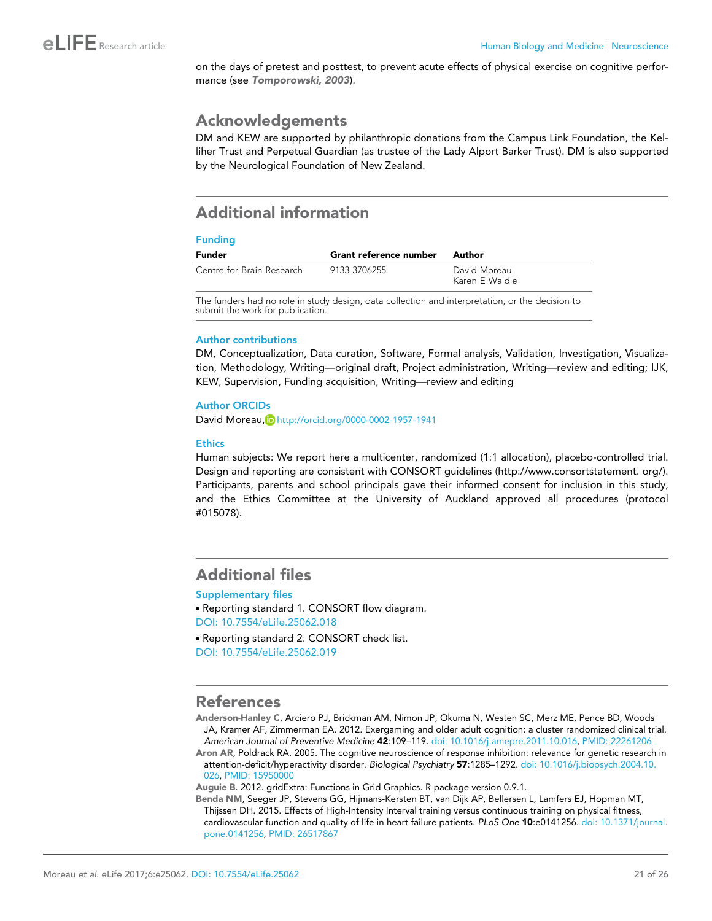<span id="page-20-0"></span>on the days of pretest and posttest, to prevent acute effects of physical exercise on cognitive performance (see [Tomporowski, 2003](#page-24-0)).

# Acknowledgements

DM and KEW are supported by philanthropic donations from the Campus Link Foundation, the Kelliher Trust and Perpetual Guardian (as trustee of the Lady Alport Barker Trust). DM is also supported by the Neurological Foundation of New Zealand.

# Additional information

#### Funding

| Funder                    | Grant reference number | Author                         |
|---------------------------|------------------------|--------------------------------|
| Centre for Brain Research | 9133-3706255           | David Moreau<br>Karen E Waldie |

The funders had no role in study design, data collection and interpretation, or the decision to submit the work for publication.

#### Author contributions

DM, Conceptualization, Data curation, Software, Formal analysis, Validation, Investigation, Visualization, Methodology, Writing—original draft, Project administration, Writing—review and editing; IJK, KEW, Supervision, Funding acquisition, Writing—review and editing

#### Author ORCIDs

David Moreau, D<http://orcid.org/0000-0002-1957-1941>

#### **Ethics**

Human subjects: We report here a multicenter, randomized (1:1 allocation), placebo-controlled trial. Design and reporting are consistent with CONSORT guidelines (http://www.consortstatement. org/). Participants, parents and school principals gave their informed consent for inclusion in this study, and the Ethics Committee at the University of Auckland approved all procedures (protocol #015078).

# Additional files

#### Supplementary files

. Reporting standard 1. CONSORT flow diagram. [DOI: 10.7554/eLife.25062.018](http://dx.doi.org/10.7554/eLife.25062.018)

. Reporting standard 2. CONSORT check list. [DOI: 10.7554/eLife.25062.019](http://dx.doi.org/10.7554/eLife.25062.019)

### References

Anderson-Hanley C, Arciero PJ, Brickman AM, Nimon JP, Okuma N, Westen SC, Merz ME, Pence BD, Woods JA, Kramer AF, Zimmerman EA. 2012. Exergaming and older adult cognition: a cluster randomized clinical trial. *American Journal of Preventive Medicine* 42:109–119. [doi: 10.1016/j.amepre.2011.10.016](http://dx.doi.org/10.1016/j.amepre.2011.10.016), PMID: [22261206](http://www.ncbi.nlm.nih.gov/pubmed/22261206)

Aron AR, Poldrack RA. 2005. The cognitive neuroscience of response inhibition: relevance for genetic research in attention-deficit/hyperactivity disorder. *Biological Psychiatry* 57:1285–1292. [doi: 10.1016/j.biopsych.2004.10.](http://dx.doi.org/10.1016/j.biopsych.2004.10.026) [026,](http://dx.doi.org/10.1016/j.biopsych.2004.10.026) PMID: [15950000](http://www.ncbi.nlm.nih.gov/pubmed/15950000)

Auguie B. 2012. gridExtra: Functions in Grid Graphics. R package version 0.9.1.

Benda NM, Seeger JP, Stevens GG, Hijmans-Kersten BT, van Dijk AP, Bellersen L, Lamfers EJ, Hopman MT, Thijssen DH. 2015. Effects of High-Intensity Interval training versus continuous training on physical fitness, cardiovascular function and quality of life in heart failure patients. *PLoS One* 10:e0141256. [doi: 10.1371/journal.](http://dx.doi.org/10.1371/journal.pone.0141256) [pone.0141256,](http://dx.doi.org/10.1371/journal.pone.0141256) PMID: [26517867](http://www.ncbi.nlm.nih.gov/pubmed/26517867)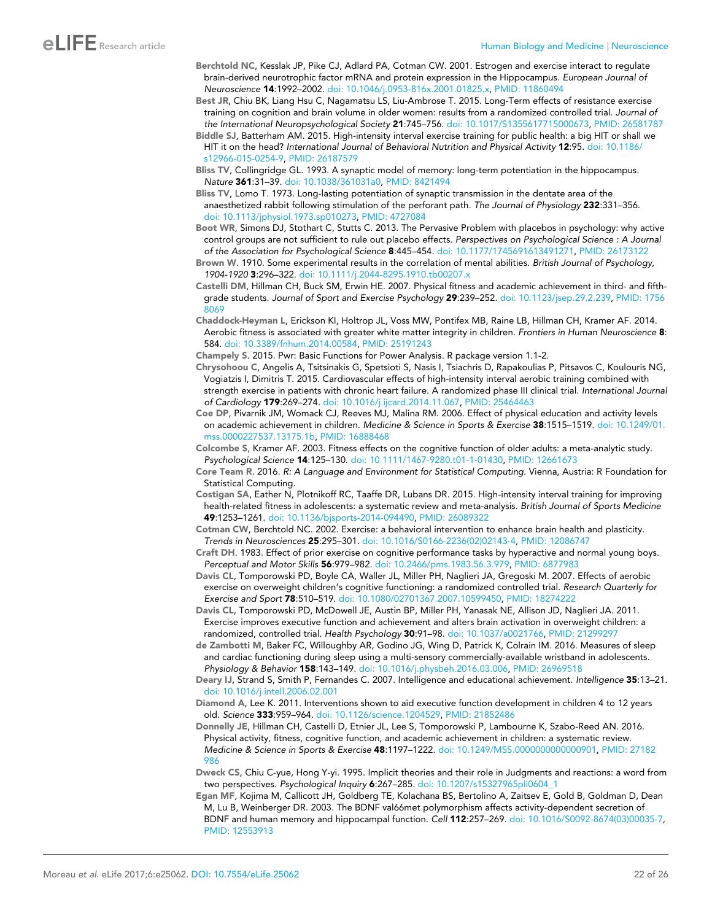- <span id="page-21-0"></span>Berchtold NC, Kesslak JP, Pike CJ, Adlard PA, Cotman CW. 2001. Estrogen and exercise interact to regulate brain-derived neurotrophic factor mRNA and protein expression in the Hippocampus. *European Journal of Neuroscience* 14:1992–2002. [doi: 10.1046/j.0953-816x.2001.01825.x,](http://dx.doi.org/10.1046/j.0953-816x.2001.01825.x) PMID: [11860494](http://www.ncbi.nlm.nih.gov/pubmed/11860494)
- Best JR, Chiu BK, Liang Hsu C, Nagamatsu LS, Liu-Ambrose T. 2015. Long-Term effects of resistance exercise training on cognition and brain volume in older women: results from a randomized controlled trial. *Journal of the International Neuropsychological Society* 21:745–756. [doi: 10.1017/S1355617715000673](http://dx.doi.org/10.1017/S1355617715000673), PMID: [26581787](http://www.ncbi.nlm.nih.gov/pubmed/26581787)
- Biddle SJ, Batterham AM. 2015. High-intensity interval exercise training for public health: a big HIT or shall we HIT it on the head? *International Journal of Behavioral Nutrition and Physical Activity* 12:95. [doi: 10.1186/](http://dx.doi.org/10.1186/s12966-015-0254-9) [s12966-015-0254-9,](http://dx.doi.org/10.1186/s12966-015-0254-9) PMID: [26187579](http://www.ncbi.nlm.nih.gov/pubmed/26187579)

Bliss TV, Collingridge GL. 1993. A synaptic model of memory: long-term potentiation in the hippocampus. *Nature* 361:31–39. [doi: 10.1038/361031a0](http://dx.doi.org/10.1038/361031a0), PMID: [8421494](http://www.ncbi.nlm.nih.gov/pubmed/8421494)

- Bliss TV, Lomo T. 1973. Long-lasting potentiation of synaptic transmission in the dentate area of the anaesthetized rabbit following stimulation of the perforant path. *The Journal of Physiology* 232:331–356. [doi: 10.1113/jphysiol.1973.sp010273,](http://dx.doi.org/10.1113/jphysiol.1973.sp010273) PMID: [4727084](http://www.ncbi.nlm.nih.gov/pubmed/4727084)
- Boot WR, Simons DJ, Stothart C, Stutts C. 2013. The Pervasive Problem with placebos in psychology: why active control groups are not sufficient to rule out placebo effects. *Perspectives on Psychological Science : A Journal of the Association for Psychological Science* 8:445–454. [doi: 10.1177/1745691613491271,](http://dx.doi.org/10.1177/1745691613491271) PMID: [26173122](http://www.ncbi.nlm.nih.gov/pubmed/26173122)
- Brown W. 1910. Some experimental results in the correlation of mental abilities. *British Journal of Psychology, 1904-1920* 3:296–322. [doi: 10.1111/j.2044-8295.1910.tb00207.x](http://dx.doi.org/10.1111/j.2044-8295.1910.tb00207.x)
- Castelli DM, Hillman CH, Buck SM, Erwin HE. 2007. Physical fitness and academic achievement in third- and fifthgrade students. *Journal of Sport and Exercise Psychology* 29:239–252. [doi: 10.1123/jsep.29.2.239](http://dx.doi.org/10.1123/jsep.29.2.239), PMID: [1756](http://www.ncbi.nlm.nih.gov/pubmed/17568069) [8069](http://www.ncbi.nlm.nih.gov/pubmed/17568069)
- Chaddock-Heyman L, Erickson KI, Holtrop JL, Voss MW, Pontifex MB, Raine LB, Hillman CH, Kramer AF. 2014. Aerobic fitness is associated with greater white matter integrity in children. *Frontiers in Human Neuroscience* 8: 584. [doi: 10.3389/fnhum.2014.00584](http://dx.doi.org/10.3389/fnhum.2014.00584), PMID: [25191243](http://www.ncbi.nlm.nih.gov/pubmed/25191243)
- Champely S. 2015. Pwr: Basic Functions for Power Analysis. R package version 1.1-2.
- Chrysohoou C, Angelis A, Tsitsinakis G, Spetsioti S, Nasis I, Tsiachris D, Rapakoulias P, Pitsavos C, Koulouris NG, Vogiatzis I, Dimitris T. 2015. Cardiovascular effects of high-intensity interval aerobic training combined with strength exercise in patients with chronic heart failure. A randomized phase III clinical trial. *International Journal of Cardiology* 179:269–274. [doi: 10.1016/j.ijcard.2014.11.067](http://dx.doi.org/10.1016/j.ijcard.2014.11.067), PMID: [25464463](http://www.ncbi.nlm.nih.gov/pubmed/25464463)
- Coe DP, Pivarnik JM, Womack CJ, Reeves MJ, Malina RM. 2006. Effect of physical education and activity levels on academic achievement in children. *Medicine & Science in Sports & Exercise* 38:1515–1519. [doi: 10.1249/01.](http://dx.doi.org/10.1249/01.mss.0000227537.13175.1b) [mss.0000227537.13175.1b,](http://dx.doi.org/10.1249/01.mss.0000227537.13175.1b) PMID: [16888468](http://www.ncbi.nlm.nih.gov/pubmed/16888468)
- Colcombe S, Kramer AF. 2003. Fitness effects on the cognitive function of older adults: a meta-analytic study. *Psychological Science* 14:125–130. [doi: 10.1111/1467-9280.t01-1-01430,](http://dx.doi.org/10.1111/1467-9280.t01-1-01430) PMID: [12661673](http://www.ncbi.nlm.nih.gov/pubmed/12661673)
- Core Team R. 2016. *R: A Language and Environment for Statistical Computing*. Vienna, Austria: R Foundation for Statistical Computing.
- Costigan SA, Eather N, Plotnikoff RC, Taaffe DR, Lubans DR. 2015. High-intensity interval training for improving health-related fitness in adolescents: a systematic review and meta-analysis. *British Journal of Sports Medicine* 49:1253–1261. [doi: 10.1136/bjsports-2014-094490](http://dx.doi.org/10.1136/bjsports-2014-094490), PMID: [26089322](http://www.ncbi.nlm.nih.gov/pubmed/26089322)
- Cotman CW, Berchtold NC. 2002. Exercise: a behavioral intervention to enhance brain health and plasticity. *Trends in Neurosciences* 25:295–301. [doi: 10.1016/S0166-2236\(02\)02143-4,](http://dx.doi.org/10.1016/S0166-2236(02)02143-4) PMID: [12086747](http://www.ncbi.nlm.nih.gov/pubmed/12086747)
- Craft DH. 1983. Effect of prior exercise on cognitive performance tasks by hyperactive and normal young boys. *Perceptual and Motor Skills* 56:979–982. [doi: 10.2466/pms.1983.56.3.979](http://dx.doi.org/10.2466/pms.1983.56.3.979), PMID: [6877983](http://www.ncbi.nlm.nih.gov/pubmed/6877983)
- Davis CL, Tomporowski PD, Boyle CA, Waller JL, Miller PH, Naglieri JA, Gregoski M. 2007. Effects of aerobic exercise on overweight children's cognitive functioning: a randomized controlled trial. *Research Quarterly for Exercise and Sport* 78:510–519. [doi: 10.1080/02701367.2007.10599450](http://dx.doi.org/10.1080/02701367.2007.10599450), PMID: [18274222](http://www.ncbi.nlm.nih.gov/pubmed/18274222)
- Davis CL, Tomporowski PD, McDowell JE, Austin BP, Miller PH, Yanasak NE, Allison JD, Naglieri JA. 2011. Exercise improves executive function and achievement and alters brain activation in overweight children: a randomized, controlled trial. *Health Psychology* 30:91–98. [doi: 10.1037/a0021766,](http://dx.doi.org/10.1037/a0021766) PMID: [21299297](http://www.ncbi.nlm.nih.gov/pubmed/21299297)
- de Zambotti M, Baker FC, Willoughby AR, Godino JG, Wing D, Patrick K, Colrain IM. 2016. Measures of sleep and cardiac functioning during sleep using a multi-sensory commercially-available wristband in adolescents. *Physiology & Behavior* 158:143–149. [doi: 10.1016/j.physbeh.2016.03.006,](http://dx.doi.org/10.1016/j.physbeh.2016.03.006) PMID: [26969518](http://www.ncbi.nlm.nih.gov/pubmed/26969518)
- Deary IJ, Strand S, Smith P, Fernandes C. 2007. Intelligence and educational achievement. *Intelligence* 35:13–21. [doi: 10.1016/j.intell.2006.02.001](http://dx.doi.org/10.1016/j.intell.2006.02.001)
- Diamond A, Lee K. 2011. Interventions shown to aid executive function development in children 4 to 12 years old. *Science* 333:959–964. [doi: 10.1126/science.1204529,](http://dx.doi.org/10.1126/science.1204529) PMID: [21852486](http://www.ncbi.nlm.nih.gov/pubmed/21852486)
- Donnelly JE, Hillman CH, Castelli D, Etnier JL, Lee S, Tomporowski P, Lambourne K, Szabo-Reed AN. 2016. Physical activity, fitness, cognitive function, and academic achievement in children: a systematic review. *Medicine & Science in Sports & Exercise* 48:1197–1222. [doi: 10.1249/MSS.0000000000000901](http://dx.doi.org/10.1249/MSS.0000000000000901), PMID: [27182](http://www.ncbi.nlm.nih.gov/pubmed/27182986) [986](http://www.ncbi.nlm.nih.gov/pubmed/27182986)
- Dweck CS, Chiu C-yue, Hong Y-yi. 1995. Implicit theories and their role in Judgments and reactions: a word from two perspectives. *Psychological Inquiry* 6:267–285. [doi: 10.1207/s15327965pli0604\\_1](http://dx.doi.org/10.1207/s15327965pli0604_1)
- Egan MF, Kojima M, Callicott JH, Goldberg TE, Kolachana BS, Bertolino A, Zaitsev E, Gold B, Goldman D, Dean M, Lu B, Weinberger DR. 2003. The BDNF val66met polymorphism affects activity-dependent secretion of BDNF and human memory and hippocampal function. *Cell* 112:257–269. [doi: 10.1016/S0092-8674\(03\)00035-7](http://dx.doi.org/10.1016/S0092-8674(03)00035-7), PMID: [12553913](http://www.ncbi.nlm.nih.gov/pubmed/12553913)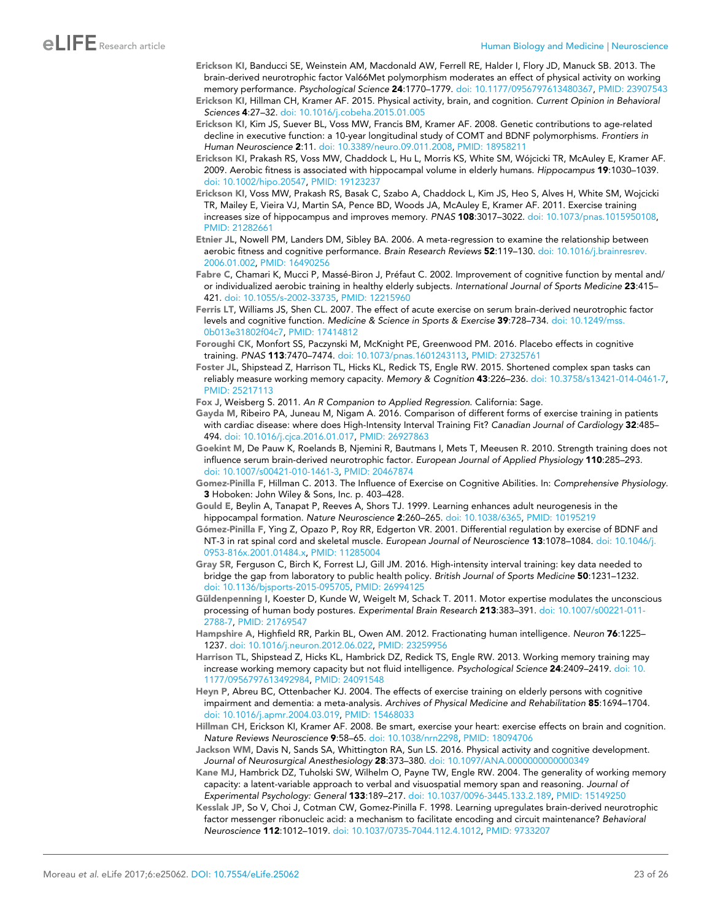<span id="page-22-0"></span>Erickson KI, Banducci SE, Weinstein AM, Macdonald AW, Ferrell RE, Halder I, Flory JD, Manuck SB. 2013. The brain-derived neurotrophic factor Val66Met polymorphism moderates an effect of physical activity on working memory performance. *Psychological Science* 24:1770–1779. [doi: 10.1177/0956797613480367](http://dx.doi.org/10.1177/0956797613480367), PMID: [23907543](http://www.ncbi.nlm.nih.gov/pubmed/23907543)

Erickson KI, Hillman CH, Kramer AF. 2015. Physical activity, brain, and cognition. *Current Opinion in Behavioral Sciences* 4:27–32. [doi: 10.1016/j.cobeha.2015.01.005](http://dx.doi.org/10.1016/j.cobeha.2015.01.005)

- Erickson KI, Kim JS, Suever BL, Voss MW, Francis BM, Kramer AF. 2008. Genetic contributions to age-related decline in executive function: a 10-year longitudinal study of COMT and BDNF polymorphisms. *Frontiers in Human Neuroscience* 2:11. [doi: 10.3389/neuro.09.011.2008,](http://dx.doi.org/10.3389/neuro.09.011.2008) PMID: [18958211](http://www.ncbi.nlm.nih.gov/pubmed/18958211)
- Erickson KI, Prakash RS, Voss MW, Chaddock L, Hu L, Morris KS, White SM, Wójcicki TR, McAuley E, Kramer AF. 2009. Aerobic fitness is associated with hippocampal volume in elderly humans. *Hippocampus* 19:1030–1039. [doi: 10.1002/hipo.20547](http://dx.doi.org/10.1002/hipo.20547), PMID: [19123237](http://www.ncbi.nlm.nih.gov/pubmed/19123237)
- Erickson KI, Voss MW, Prakash RS, Basak C, Szabo A, Chaddock L, Kim JS, Heo S, Alves H, White SM, Wojcicki TR, Mailey E, Vieira VJ, Martin SA, Pence BD, Woods JA, McAuley E, Kramer AF. 2011. Exercise training increases size of hippocampus and improves memory. *PNAS* 108:3017–3022. [doi: 10.1073/pnas.1015950108](http://dx.doi.org/10.1073/pnas.1015950108), PMID: [21282661](http://www.ncbi.nlm.nih.gov/pubmed/21282661)
- Etnier JL, Nowell PM, Landers DM, Sibley BA. 2006. A meta-regression to examine the relationship between aerobic fitness and cognitive performance. *Brain Research Reviews* 52:119–130. [doi: 10.1016/j.brainresrev.](http://dx.doi.org/10.1016/j.brainresrev.2006.01.002) [2006.01.002](http://dx.doi.org/10.1016/j.brainresrev.2006.01.002), PMID: [16490256](http://www.ncbi.nlm.nih.gov/pubmed/16490256)
- Fabre C, Chamari K, Mucci P, Massé-Biron J, Préfaut C. 2002. Improvement of cognitive function by mental and/ or individualized aerobic training in healthy elderly subjects. *International Journal of Sports Medicine* 23:415– 421. [doi: 10.1055/s-2002-33735,](http://dx.doi.org/10.1055/s-2002-33735) PMID: [12215960](http://www.ncbi.nlm.nih.gov/pubmed/12215960)
- Ferris LT, Williams JS, Shen CL. 2007. The effect of acute exercise on serum brain-derived neurotrophic factor levels and cognitive function. *Medicine & Science in Sports & Exercise* 39:728–734. [doi: 10.1249/mss.](http://dx.doi.org/10.1249/mss.0b013e31802f04c7) [0b013e31802f04c7,](http://dx.doi.org/10.1249/mss.0b013e31802f04c7) PMID: [17414812](http://www.ncbi.nlm.nih.gov/pubmed/17414812)
- Foroughi CK, Monfort SS, Paczynski M, McKnight PE, Greenwood PM. 2016. Placebo effects in cognitive training. *PNAS* 113:7470–7474. [doi: 10.1073/pnas.1601243113](http://dx.doi.org/10.1073/pnas.1601243113), PMID: [27325761](http://www.ncbi.nlm.nih.gov/pubmed/27325761)
- Foster JL, Shipstead Z, Harrison TL, Hicks KL, Redick TS, Engle RW. 2015. Shortened complex span tasks can reliably measure working memory capacity. *Memory & Cognition* 43:226–236. [doi: 10.3758/s13421-014-0461-7,](http://dx.doi.org/10.3758/s13421-014-0461-7) PMID: [25217113](http://www.ncbi.nlm.nih.gov/pubmed/25217113)
- Fox J, Weisberg S. 2011. *An R Companion to Applied Regression*. California: Sage.
- Gayda M, Ribeiro PA, Juneau M, Nigam A. 2016. Comparison of different forms of exercise training in patients with cardiac disease: where does High-Intensity Interval Training Fit? *Canadian Journal of Cardiology* 32:485– 494. [doi: 10.1016/j.cjca.2016.01.017,](http://dx.doi.org/10.1016/j.cjca.2016.01.017) PMID: [26927863](http://www.ncbi.nlm.nih.gov/pubmed/26927863)
- Goekint M, De Pauw K, Roelands B, Njemini R, Bautmans I, Mets T, Meeusen R. 2010. Strength training does not influence serum brain-derived neurotrophic factor. *European Journal of Applied Physiology* 110:285–293. [doi: 10.1007/s00421-010-1461-3](http://dx.doi.org/10.1007/s00421-010-1461-3), PMID: [20467874](http://www.ncbi.nlm.nih.gov/pubmed/20467874)
- Gomez-Pinilla F, Hillman C. 2013. The Influence of Exercise on Cognitive Abilities. In: *Comprehensive Physiology*. 3 Hoboken: John Wiley & Sons, Inc. p. 403–428.
- Gould E, Beylin A, Tanapat P, Reeves A, Shors TJ. 1999. Learning enhances adult neurogenesis in the hippocampal formation. *Nature Neuroscience* 2:260–265. [doi: 10.1038/6365](http://dx.doi.org/10.1038/6365), PMID: [10195219](http://www.ncbi.nlm.nih.gov/pubmed/10195219)
- Gómez-Pinilla F, Ying Z, Opazo P, Roy RR, Edgerton VR. 2001. Differential regulation by exercise of BDNF and NT-3 in rat spinal cord and skeletal muscle. *European Journal of Neuroscience* 13:1078–1084. [doi: 10.1046/j.](http://dx.doi.org/10.1046/j.0953-816x.2001.01484.x) [0953-816x.2001.01484.x,](http://dx.doi.org/10.1046/j.0953-816x.2001.01484.x) PMID: [11285004](http://www.ncbi.nlm.nih.gov/pubmed/11285004)
- Gray SR, Ferguson C, Birch K, Forrest LJ, Gill JM. 2016. High-intensity interval training: key data needed to bridge the gap from laboratory to public health policy. *British Journal of Sports Medicine* 50:1231–1232. [doi: 10.1136/bjsports-2015-095705](http://dx.doi.org/10.1136/bjsports-2015-095705), PMID: [26994125](http://www.ncbi.nlm.nih.gov/pubmed/26994125)
- Güldenpenning I, Koester D, Kunde W, Weigelt M, Schack T. 2011. Motor expertise modulates the unconscious processing of human body postures. *Experimental Brain Research* 213:383–391. [doi: 10.1007/s00221-011-](http://dx.doi.org/10.1007/s00221-011-2788-7) [2788-7](http://dx.doi.org/10.1007/s00221-011-2788-7), PMID: [21769547](http://www.ncbi.nlm.nih.gov/pubmed/21769547)
- Hampshire A, Highfield RR, Parkin BL, Owen AM. 2012. Fractionating human intelligence. *Neuron* 76:1225– 1237. [doi: 10.1016/j.neuron.2012.06.022,](http://dx.doi.org/10.1016/j.neuron.2012.06.022) PMID: [23259956](http://www.ncbi.nlm.nih.gov/pubmed/23259956)
- Harrison TL, Shipstead Z, Hicks KL, Hambrick DZ, Redick TS, Engle RW. 2013. Working memory training may increase working memory capacity but not fluid intelligence. *Psychological Science* 24:2409–2419. [doi: 10.](http://dx.doi.org/10.1177/0956797613492984) [1177/0956797613492984](http://dx.doi.org/10.1177/0956797613492984), PMID: [24091548](http://www.ncbi.nlm.nih.gov/pubmed/24091548)
- Heyn P, Abreu BC, Ottenbacher KJ. 2004. The effects of exercise training on elderly persons with cognitive impairment and dementia: a meta-analysis. *Archives of Physical Medicine and Rehabilitation* 85:1694–1704. [doi: 10.1016/j.apmr.2004.03.019](http://dx.doi.org/10.1016/j.apmr.2004.03.019), PMID: [15468033](http://www.ncbi.nlm.nih.gov/pubmed/15468033)
- Hillman CH, Erickson KI, Kramer AF. 2008. Be smart, exercise your heart: exercise effects on brain and cognition. *Nature Reviews Neuroscience* 9:58–65. [doi: 10.1038/nrn2298](http://dx.doi.org/10.1038/nrn2298), PMID: [18094706](http://www.ncbi.nlm.nih.gov/pubmed/18094706)
- Jackson WM, Davis N, Sands SA, Whittington RA, Sun LS. 2016. Physical activity and cognitive development. *Journal of Neurosurgical Anesthesiology* 28:373–380. [doi: 10.1097/ANA.0000000000000349](http://dx.doi.org/10.1097/ANA.0000000000000349)
- Kane MJ, Hambrick DZ, Tuholski SW, Wilhelm O, Payne TW, Engle RW. 2004. The generality of working memory capacity: a latent-variable approach to verbal and visuospatial memory span and reasoning. *Journal of Experimental Psychology: General* 133:189–217. [doi: 10.1037/0096-3445.133.2.189](http://dx.doi.org/10.1037/0096-3445.133.2.189), PMID: [15149250](http://www.ncbi.nlm.nih.gov/pubmed/15149250)
- Kesslak JP, So V, Choi J, Cotman CW, Gomez-Pinilla F. 1998. Learning upregulates brain-derived neurotrophic factor messenger ribonucleic acid: a mechanism to facilitate encoding and circuit maintenance? *Behavioral Neuroscience* 112:1012–1019. [doi: 10.1037/0735-7044.112.4.1012,](http://dx.doi.org/10.1037/0735-7044.112.4.1012) PMID: [9733207](http://www.ncbi.nlm.nih.gov/pubmed/9733207)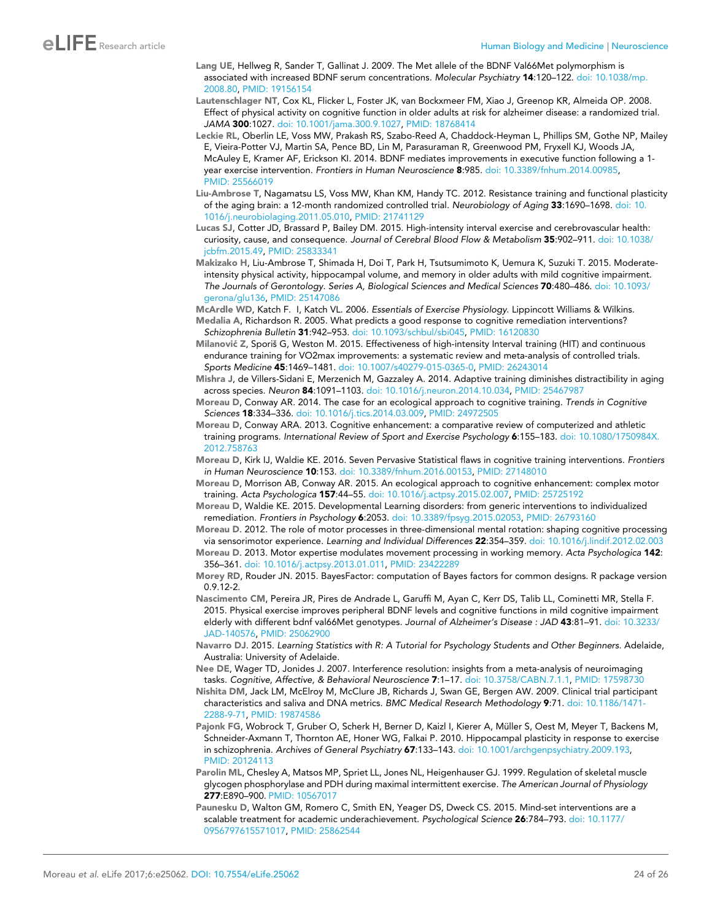- <span id="page-23-0"></span>Lang UE, Hellweg R, Sander T, Gallinat J. 2009. The Met allele of the BDNF Val66Met polymorphism is associated with increased BDNF serum concentrations. *Molecular Psychiatry* 14:120–122. [doi: 10.1038/mp.](http://dx.doi.org/10.1038/mp.2008.80) [2008.80](http://dx.doi.org/10.1038/mp.2008.80), PMID: [19156154](http://www.ncbi.nlm.nih.gov/pubmed/19156154)
- Lautenschlager NT, Cox KL, Flicker L, Foster JK, van Bockxmeer FM, Xiao J, Greenop KR, Almeida OP. 2008. Effect of physical activity on cognitive function in older adults at risk for alzheimer disease: a randomized trial. *JAMA* 300:1027. [doi: 10.1001/jama.300.9.1027,](http://dx.doi.org/10.1001/jama.300.9.1027) PMID: [18768414](http://www.ncbi.nlm.nih.gov/pubmed/18768414)
- Leckie RL, Oberlin LE, Voss MW, Prakash RS, Szabo-Reed A, Chaddock-Heyman L, Phillips SM, Gothe NP, Mailey E, Vieira-Potter VJ, Martin SA, Pence BD, Lin M, Parasuraman R, Greenwood PM, Fryxell KJ, Woods JA, McAuley E, Kramer AF, Erickson KI. 2014. BDNF mediates improvements in executive function following a 1 year exercise intervention. *Frontiers in Human Neuroscience* 8:985. [doi: 10.3389/fnhum.2014.00985](http://dx.doi.org/10.3389/fnhum.2014.00985), PMID: [25566019](http://www.ncbi.nlm.nih.gov/pubmed/25566019)
- Liu-Ambrose T, Nagamatsu LS, Voss MW, Khan KM, Handy TC. 2012. Resistance training and functional plasticity of the aging brain: a 12-month randomized controlled trial. *Neurobiology of Aging* 33:1690–1698. [doi: 10.](http://dx.doi.org/10.1016/j.neurobiolaging.2011.05.010) [1016/j.neurobiolaging.2011.05.010,](http://dx.doi.org/10.1016/j.neurobiolaging.2011.05.010) PMID: [21741129](http://www.ncbi.nlm.nih.gov/pubmed/21741129)
- Lucas SJ, Cotter JD, Brassard P, Bailey DM. 2015. High-intensity interval exercise and cerebrovascular health: curiosity, cause, and consequence. *Journal of Cerebral Blood Flow & Metabolism* 35:902–911. [doi: 10.1038/](http://dx.doi.org/10.1038/jcbfm.2015.49) [jcbfm.2015.49](http://dx.doi.org/10.1038/jcbfm.2015.49), PMID: [25833341](http://www.ncbi.nlm.nih.gov/pubmed/25833341)
- Makizako H, Liu-Ambrose T, Shimada H, Doi T, Park H, Tsutsumimoto K, Uemura K, Suzuki T. 2015. Moderateintensity physical activity, hippocampal volume, and memory in older adults with mild cognitive impairment. *The Journals of Gerontology. Series A, Biological Sciences and Medical Sciences* 70:480–486. [doi: 10.1093/](http://dx.doi.org/10.1093/gerona/glu136) [gerona/glu136](http://dx.doi.org/10.1093/gerona/glu136), PMID: [25147086](http://www.ncbi.nlm.nih.gov/pubmed/25147086)

McArdle WD, Katch F. I, Katch VL. 2006. *Essentials of Exercise Physiology*. Lippincott Williams & Wilkins.

- Medalia A, Richardson R. 2005. What predicts a good response to cognitive remediation interventions? *Schizophrenia Bulletin* 31:942–953. [doi: 10.1093/schbul/sbi045,](http://dx.doi.org/10.1093/schbul/sbi045) PMID: [16120830](http://www.ncbi.nlm.nih.gov/pubmed/16120830)
- Milanović Z, Sporiš G, Weston M. 2015. Effectiveness of high-intensity Interval training (HIT) and continuous endurance training for VO2max improvements: a systematic review and meta-analysis of controlled trials. *Sports Medicine* 45:1469–1481. [doi: 10.1007/s40279-015-0365-0](http://dx.doi.org/10.1007/s40279-015-0365-0), PMID: [26243014](http://www.ncbi.nlm.nih.gov/pubmed/26243014)
- Mishra J, de Villers-Sidani E, Merzenich M, Gazzaley A. 2014. Adaptive training diminishes distractibility in aging across species. *Neuron* 84:1091–1103. [doi: 10.1016/j.neuron.2014.10.034](http://dx.doi.org/10.1016/j.neuron.2014.10.034), PMID: [25467987](http://www.ncbi.nlm.nih.gov/pubmed/25467987)
- Moreau D, Conway AR. 2014. The case for an ecological approach to cognitive training. *Trends in Cognitive Sciences* 18:334–336. [doi: 10.1016/j.tics.2014.03.009,](http://dx.doi.org/10.1016/j.tics.2014.03.009) PMID: [24972505](http://www.ncbi.nlm.nih.gov/pubmed/24972505)
- Moreau D, Conway ARA. 2013. Cognitive enhancement: a comparative review of computerized and athletic training programs. *International Review of Sport and Exercise Psychology* 6:155–183. [doi: 10.1080/1750984X.](http://dx.doi.org/10.1080/1750984X.2012.758763) [2012.758763](http://dx.doi.org/10.1080/1750984X.2012.758763)
- Moreau D, Kirk IJ, Waldie KE. 2016. Seven Pervasive Statistical flaws in cognitive training interventions. *Frontiers in Human Neuroscience* 10:153. [doi: 10.3389/fnhum.2016.00153](http://dx.doi.org/10.3389/fnhum.2016.00153), PMID: [27148010](http://www.ncbi.nlm.nih.gov/pubmed/27148010)
- Moreau D, Morrison AB, Conway AR. 2015. An ecological approach to cognitive enhancement: complex motor training. *Acta Psychologica* 157:44–55. [doi: 10.1016/j.actpsy.2015.02.007,](http://dx.doi.org/10.1016/j.actpsy.2015.02.007) PMID: [25725192](http://www.ncbi.nlm.nih.gov/pubmed/25725192)
- Moreau D, Waldie KE. 2015. Developmental Learning disorders: from generic interventions to individualized remediation. *Frontiers in Psychology* 6:2053. [doi: 10.3389/fpsyg.2015.02053](http://dx.doi.org/10.3389/fpsyg.2015.02053), PMID: [26793160](http://www.ncbi.nlm.nih.gov/pubmed/26793160)
- Moreau D. 2012. The role of motor processes in three-dimensional mental rotation: shaping cognitive processing via sensorimotor experience. *Learning and Individual Differences* 22:354–359. [doi: 10.1016/j.lindif.2012.02.003](http://dx.doi.org/10.1016/j.lindif.2012.02.003)
- Moreau D. 2013. Motor expertise modulates movement processing in working memory. *Acta Psychologica* 142: 356–361. [doi: 10.1016/j.actpsy.2013.01.011](http://dx.doi.org/10.1016/j.actpsy.2013.01.011), PMID: [23422289](http://www.ncbi.nlm.nih.gov/pubmed/23422289)
- Morey RD, Rouder JN. 2015. BayesFactor: computation of Bayes factors for common designs. R package version 0.9.12-2.
- Nascimento CM, Pereira JR, Pires de Andrade L, Garuffi M, Ayan C, Kerr DS, Talib LL, Cominetti MR, Stella F. 2015. Physical exercise improves peripheral BDNF levels and cognitive functions in mild cognitive impairment elderly with different bdnf val66Met genotypes. *Journal of Alzheimer's Disease : JAD* 43:81–91. [doi: 10.3233/](http://dx.doi.org/10.3233/JAD-140576) [JAD-140576,](http://dx.doi.org/10.3233/JAD-140576) PMID: [25062900](http://www.ncbi.nlm.nih.gov/pubmed/25062900)
- Navarro DJ. 2015. *Learning Statistics with R: A Tutorial for Psychology Students and Other Beginners*. Adelaide, Australia: University of Adelaide.
- Nee DE, Wager TD, Jonides J. 2007. Interference resolution: insights from a meta-analysis of neuroimaging tasks. *Cognitive, Affective, & Behavioral Neuroscience* 7:1–17. [doi: 10.3758/CABN.7.1.1,](http://dx.doi.org/10.3758/CABN.7.1.1) PMID: [17598730](http://www.ncbi.nlm.nih.gov/pubmed/17598730)
- Nishita DM, Jack LM, McElroy M, McClure JB, Richards J, Swan GE, Bergen AW. 2009. Clinical trial participant characteristics and saliva and DNA metrics. *BMC Medical Research Methodology* 9:71. [doi: 10.1186/1471-](http://dx.doi.org/10.1186/1471-2288-9-71) [2288-9-71,](http://dx.doi.org/10.1186/1471-2288-9-71) PMID: [19874586](http://www.ncbi.nlm.nih.gov/pubmed/19874586)
- Pajonk FG, Wobrock T, Gruber O, Scherk H, Berner D, Kaizl I, Kierer A, Müller S, Oest M, Meyer T, Backens M, Schneider-Axmann T, Thornton AE, Honer WG, Falkai P. 2010. Hippocampal plasticity in response to exercise in schizophrenia. *Archives of General Psychiatry* 67:133–143. [doi: 10.1001/archgenpsychiatry.2009.193,](http://dx.doi.org/10.1001/archgenpsychiatry.2009.193) PMID: [20124113](http://www.ncbi.nlm.nih.gov/pubmed/20124113)
- Parolin ML, Chesley A, Matsos MP, Spriet LL, Jones NL, Heigenhauser GJ. 1999. Regulation of skeletal muscle glycogen phosphorylase and PDH during maximal intermittent exercise. *The American Journal of Physiology* 277:E890–900. PMID: [10567017](http://www.ncbi.nlm.nih.gov/pubmed/10567017)
- Paunesku D, Walton GM, Romero C, Smith EN, Yeager DS, Dweck CS. 2015. Mind-set interventions are a scalable treatment for academic underachievement. *Psychological Science* 26:784–793. [doi: 10.1177/](http://dx.doi.org/10.1177/0956797615571017) [0956797615571017,](http://dx.doi.org/10.1177/0956797615571017) PMID: [25862544](http://www.ncbi.nlm.nih.gov/pubmed/25862544)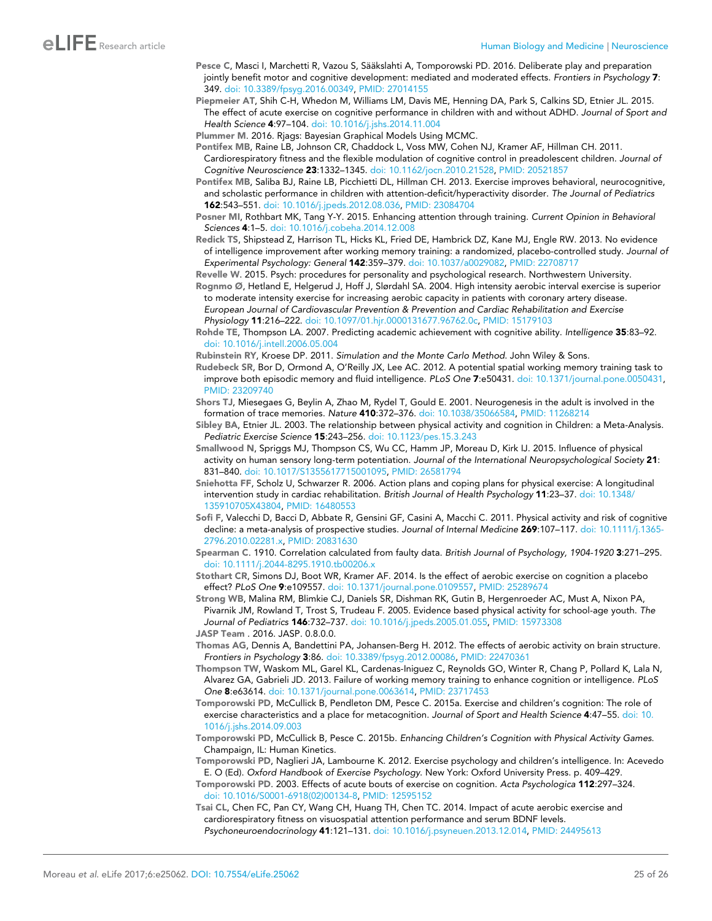- <span id="page-24-0"></span>Pesce C, Masci I, Marchetti R, Vazou S, Sääkslahti A, Tomporowski PD. 2016. Deliberate play and preparation jointly benefit motor and cognitive development: mediated and moderated effects. *Frontiers in Psychology* 7: 349. [doi: 10.3389/fpsyg.2016.00349](http://dx.doi.org/10.3389/fpsyg.2016.00349), PMID: [27014155](http://www.ncbi.nlm.nih.gov/pubmed/27014155)
- Piepmeier AT, Shih C-H, Whedon M, Williams LM, Davis ME, Henning DA, Park S, Calkins SD, Etnier JL. 2015. The effect of acute exercise on cognitive performance in children with and without ADHD. *Journal of Sport and Health Science* 4:97–104. [doi: 10.1016/j.jshs.2014.11.004](http://dx.doi.org/10.1016/j.jshs.2014.11.004)
- Plummer M. 2016. Rjags: Bayesian Graphical Models Using MCMC.
- Pontifex MB, Raine LB, Johnson CR, Chaddock L, Voss MW, Cohen NJ, Kramer AF, Hillman CH. 2011. Cardiorespiratory fitness and the flexible modulation of cognitive control in preadolescent children. *Journal of Cognitive Neuroscience* 23:1332–1345. [doi: 10.1162/jocn.2010.21528,](http://dx.doi.org/10.1162/jocn.2010.21528) PMID: [20521857](http://www.ncbi.nlm.nih.gov/pubmed/20521857)
- Pontifex MB, Saliba BJ, Raine LB, Picchietti DL, Hillman CH. 2013. Exercise improves behavioral, neurocognitive, and scholastic performance in children with attention-deficit/hyperactivity disorder. *The Journal of Pediatrics* 162:543–551. [doi: 10.1016/j.jpeds.2012.08.036](http://dx.doi.org/10.1016/j.jpeds.2012.08.036), PMID: [23084704](http://www.ncbi.nlm.nih.gov/pubmed/23084704)
- Posner MI, Rothbart MK, Tang Y-Y. 2015. Enhancing attention through training. *Current Opinion in Behavioral Sciences* 4:1–5. [doi: 10.1016/j.cobeha.2014.12.008](http://dx.doi.org/10.1016/j.cobeha.2014.12.008)
- Redick TS, Shipstead Z, Harrison TL, Hicks KL, Fried DE, Hambrick DZ, Kane MJ, Engle RW. 2013. No evidence of intelligence improvement after working memory training: a randomized, placebo-controlled study. *Journal of Experimental Psychology: General* 142:359–379. [doi: 10.1037/a0029082,](http://dx.doi.org/10.1037/a0029082) PMID: [22708717](http://www.ncbi.nlm.nih.gov/pubmed/22708717)

Revelle W. 2015. Psych: procedures for personality and psychological research. Northwestern University.

- Rognmo Ø, Hetland E, Helgerud J, Hoff J, Slørdahl SA. 2004. High intensity aerobic interval exercise is superior to moderate intensity exercise for increasing aerobic capacity in patients with coronary artery disease. *European Journal of Cardiovascular Prevention & Prevention and Cardiac Rehabilitation and Exercise Physiology* 11:216–222. [doi: 10.1097/01.hjr.0000131677.96762.0c](http://dx.doi.org/10.1097/01.hjr.0000131677.96762.0c), PMID: [15179103](http://www.ncbi.nlm.nih.gov/pubmed/15179103)
- Rohde TE, Thompson LA. 2007. Predicting academic achievement with cognitive ability. *Intelligence* 35:83–92. [doi: 10.1016/j.intell.2006.05.004](http://dx.doi.org/10.1016/j.intell.2006.05.004)
- Rubinstein RY, Kroese DP. 2011. *Simulation and the Monte Carlo Method*. John Wiley & Sons.
- Rudebeck SR, Bor D, Ormond A, O'Reilly JX, Lee AC. 2012. A potential spatial working memory training task to improve both episodic memory and fluid intelligence. *PLoS One* 7:e50431. [doi: 10.1371/journal.pone.0050431](http://dx.doi.org/10.1371/journal.pone.0050431), PMID: [23209740](http://www.ncbi.nlm.nih.gov/pubmed/23209740)
- Shors TJ, Miesegaes G, Beylin A, Zhao M, Rydel T, Gould E. 2001. Neurogenesis in the adult is involved in the formation of trace memories. *Nature* 410:372–376. [doi: 10.1038/35066584](http://dx.doi.org/10.1038/35066584), PMID: [11268214](http://www.ncbi.nlm.nih.gov/pubmed/11268214)
- Sibley BA, Etnier JL. 2003. The relationship between physical activity and cognition in Children: a Meta-Analysis. *Pediatric Exercise Science* 15:243–256. [doi: 10.1123/pes.15.3.243](http://dx.doi.org/10.1123/pes.15.3.243)
- Smallwood N, Spriggs MJ, Thompson CS, Wu CC, Hamm JP, Moreau D, Kirk IJ. 2015. Influence of physical activity on human sensory long-term potentiation. *Journal of the International Neuropsychological Society* 21: 831–840. [doi: 10.1017/S1355617715001095,](http://dx.doi.org/10.1017/S1355617715001095) PMID: [26581794](http://www.ncbi.nlm.nih.gov/pubmed/26581794)
- Sniehotta FF, Scholz U, Schwarzer R. 2006. Action plans and coping plans for physical exercise: A longitudinal intervention study in cardiac rehabilitation. *British Journal of Health Psychology* 11:23–37. [doi: 10.1348/](http://dx.doi.org/10.1348/135910705X43804) [135910705X43804,](http://dx.doi.org/10.1348/135910705X43804) PMID: [16480553](http://www.ncbi.nlm.nih.gov/pubmed/16480553)
- Sofi F, Valecchi D, Bacci D, Abbate R, Gensini GF, Casini A, Macchi C. 2011. Physical activity and risk of cognitive decline: a meta-analysis of prospective studies. *Journal of Internal Medicine* 269:107–117. [doi: 10.1111/j.1365-](http://dx.doi.org/10.1111/j.1365-2796.2010.02281.x) [2796.2010.02281.x](http://dx.doi.org/10.1111/j.1365-2796.2010.02281.x), PMID: [20831630](http://www.ncbi.nlm.nih.gov/pubmed/20831630)
- Spearman C. 1910. Correlation calculated from faulty data. *British Journal of Psychology, 1904-1920* 3:271–295. [doi: 10.1111/j.2044-8295.1910.tb00206.x](http://dx.doi.org/10.1111/j.2044-8295.1910.tb00206.x)
- Stothart CR, Simons DJ, Boot WR, Kramer AF. 2014. Is the effect of aerobic exercise on cognition a placebo effect? *PLoS One* 9:e109557. [doi: 10.1371/journal.pone.0109557](http://dx.doi.org/10.1371/journal.pone.0109557), PMID: [25289674](http://www.ncbi.nlm.nih.gov/pubmed/25289674)
- Strong WB, Malina RM, Blimkie CJ, Daniels SR, Dishman RK, Gutin B, Hergenroeder AC, Must A, Nixon PA, Pivarnik JM, Rowland T, Trost S, Trudeau F. 2005. Evidence based physical activity for school-age youth. *The Journal of Pediatrics* 146:732–737. [doi: 10.1016/j.jpeds.2005.01.055](http://dx.doi.org/10.1016/j.jpeds.2005.01.055), PMID: [15973308](http://www.ncbi.nlm.nih.gov/pubmed/15973308) JASP Team . 2016. JASP. 0.8.0.0.
- Thomas AG, Dennis A, Bandettini PA, Johansen-Berg H. 2012. The effects of aerobic activity on brain structure. *Frontiers in Psychology* 3:86. [doi: 10.3389/fpsyg.2012.00086,](http://dx.doi.org/10.3389/fpsyg.2012.00086) PMID: [22470361](http://www.ncbi.nlm.nih.gov/pubmed/22470361)
- Thompson TW, Waskom ML, Garel KL, Cardenas-Iniguez C, Reynolds GO, Winter R, Chang P, Pollard K, Lala N, Alvarez GA, Gabrieli JD. 2013. Failure of working memory training to enhance cognition or intelligence. *PLoS One* 8:e63614. [doi: 10.1371/journal.pone.0063614](http://dx.doi.org/10.1371/journal.pone.0063614), PMID: [23717453](http://www.ncbi.nlm.nih.gov/pubmed/23717453)
- Tomporowski PD, McCullick B, Pendleton DM, Pesce C. 2015a. Exercise and children's cognition: The role of exercise characteristics and a place for metacognition. *Journal of Sport and Health Science* 4:47–55. [doi: 10.](http://dx.doi.org/10.1016/j.jshs.2014.09.003) [1016/j.jshs.2014.09.003](http://dx.doi.org/10.1016/j.jshs.2014.09.003)
- Tomporowski PD, McCullick B, Pesce C. 2015b. *Enhancing Children's Cognition with Physical Activity Games*. Champaign, IL: Human Kinetics.
- Tomporowski PD, Naglieri JA, Lambourne K. 2012. Exercise psychology and children's intelligence. In: Acevedo E. O (Ed). *Oxford Handbook of Exercise Psychology*. New York: Oxford University Press. p. 409–429.
- Tomporowski PD. 2003. Effects of acute bouts of exercise on cognition. *Acta Psychologica* 112:297–324. [doi: 10.1016/S0001-6918\(02\)00134-8](http://dx.doi.org/10.1016/S0001-6918(02)00134-8), PMID: [12595152](http://www.ncbi.nlm.nih.gov/pubmed/12595152)
- Tsai CL, Chen FC, Pan CY, Wang CH, Huang TH, Chen TC. 2014. Impact of acute aerobic exercise and cardiorespiratory fitness on visuospatial attention performance and serum BDNF levels. *Psychoneuroendocrinology* 41:121–131. [doi: 10.1016/j.psyneuen.2013.12.014](http://dx.doi.org/10.1016/j.psyneuen.2013.12.014), PMID: [24495613](http://www.ncbi.nlm.nih.gov/pubmed/24495613)